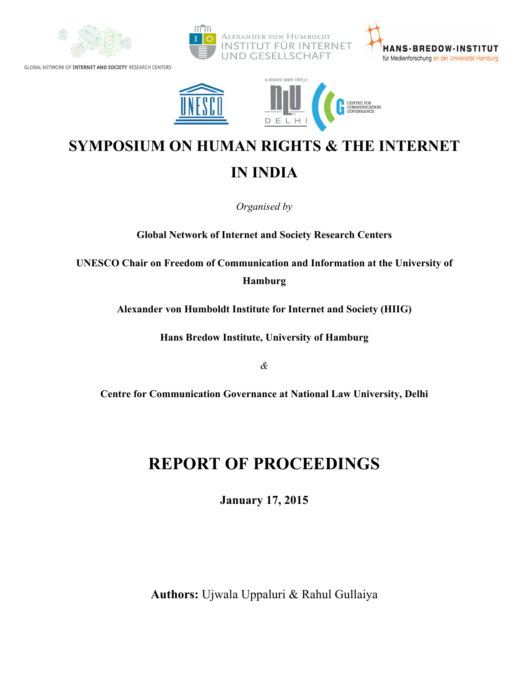



# **SYMPOSIUM ON HUMAN RIGHTS & THE INTERNET IN INDIA**

*Organised by*

**Global Network of Internet and Society Research Centers**

**UNESCO Chair on Freedom of Communication and Information at the University of Hamburg**

**Alexander von Humboldt Institute for Internet and Society (HIIG)**

**Hans Bredow Institute, University of Hamburg**

*&*

**Centre for Communication Governance at National Law University, Delhi**

# **REPORT OF PROCEEDINGS**

**January 17, 2015**

**Authors:** Ujwala Uppaluri & Rahul Gullaiya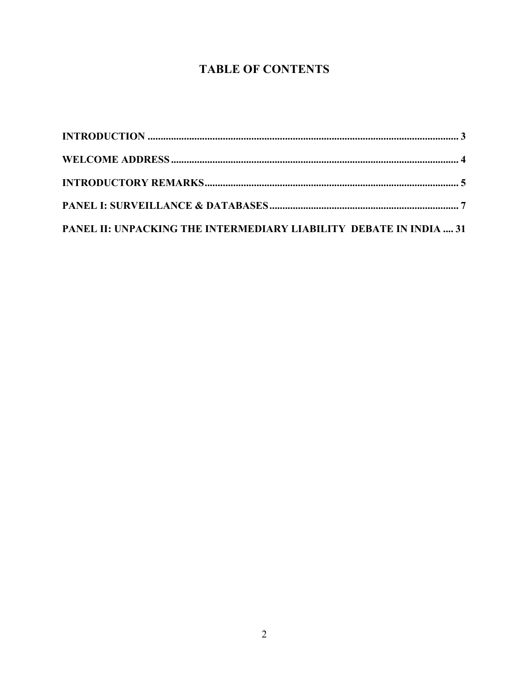# **TABLE OF CONTENTS**

| PANEL II: UNPACKING THE INTERMEDIARY LIABILITY DEBATE IN INDIA  31 |  |
|--------------------------------------------------------------------|--|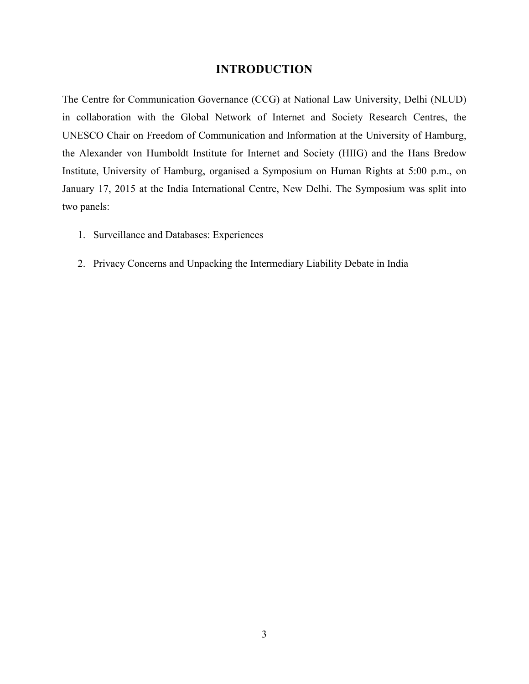## **INTRODUCTION**

The Centre for Communication Governance (CCG) at National Law University, Delhi (NLUD) in collaboration with the Global Network of Internet and Society Research Centres, the UNESCO Chair on Freedom of Communication and Information at the University of Hamburg, the Alexander von Humboldt Institute for Internet and Society (HIIG) and the Hans Bredow Institute, University of Hamburg, organised a Symposium on Human Rights at 5:00 p.m., on January 17, 2015 at the India International Centre, New Delhi. The Symposium was split into two panels:

- 1. Surveillance and Databases: Experiences
- 2. Privacy Concerns and Unpacking the Intermediary Liability Debate in India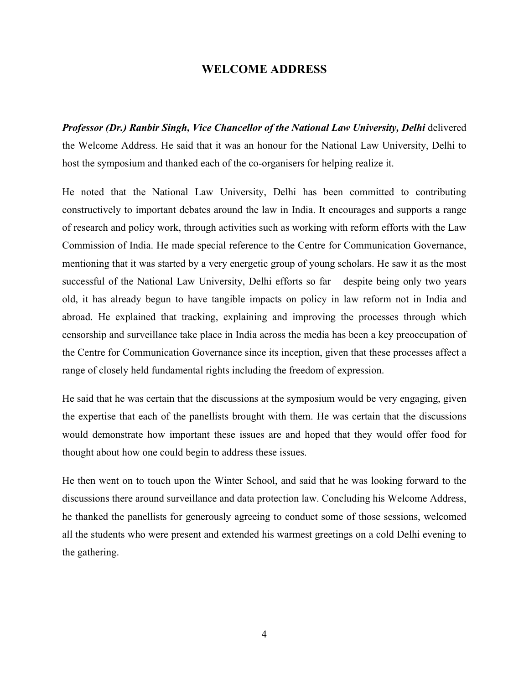### **WELCOME ADDRESS**

*Professor (Dr.) Ranbir Singh, Vice Chancellor of the National Law University, Delhi* delivered the Welcome Address. He said that it was an honour for the National Law University, Delhi to host the symposium and thanked each of the co-organisers for helping realize it.

He noted that the National Law University, Delhi has been committed to contributing constructively to important debates around the law in India. It encourages and supports a range of research and policy work, through activities such as working with reform efforts with the Law Commission of India. He made special reference to the Centre for Communication Governance, mentioning that it was started by a very energetic group of young scholars. He saw it as the most successful of the National Law University, Delhi efforts so far – despite being only two years old, it has already begun to have tangible impacts on policy in law reform not in India and abroad. He explained that tracking, explaining and improving the processes through which censorship and surveillance take place in India across the media has been a key preoccupation of the Centre for Communication Governance since its inception, given that these processes affect a range of closely held fundamental rights including the freedom of expression.

He said that he was certain that the discussions at the symposium would be very engaging, given the expertise that each of the panellists brought with them. He was certain that the discussions would demonstrate how important these issues are and hoped that they would offer food for thought about how one could begin to address these issues.

He then went on to touch upon the Winter School, and said that he was looking forward to the discussions there around surveillance and data protection law. Concluding his Welcome Address, he thanked the panellists for generously agreeing to conduct some of those sessions, welcomed all the students who were present and extended his warmest greetings on a cold Delhi evening to the gathering.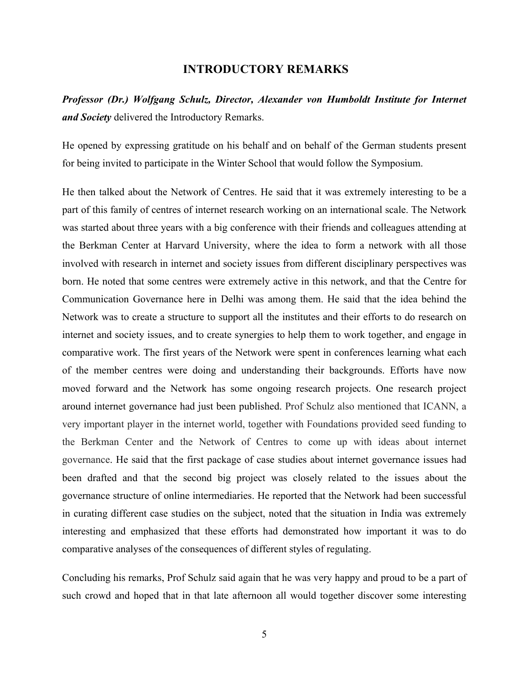### **INTRODUCTORY REMARKS**

*Professor (Dr.) Wolfgang Schulz, Director, Alexander von Humboldt Institute for Internet and Society* delivered the Introductory Remarks.

He opened by expressing gratitude on his behalf and on behalf of the German students present for being invited to participate in the Winter School that would follow the Symposium.

He then talked about the Network of Centres. He said that it was extremely interesting to be a part of this family of centres of internet research working on an international scale. The Network was started about three years with a big conference with their friends and colleagues attending at the Berkman Center at Harvard University, where the idea to form a network with all those involved with research in internet and society issues from different disciplinary perspectives was born. He noted that some centres were extremely active in this network, and that the Centre for Communication Governance here in Delhi was among them. He said that the idea behind the Network was to create a structure to support all the institutes and their efforts to do research on internet and society issues, and to create synergies to help them to work together, and engage in comparative work. The first years of the Network were spent in conferences learning what each of the member centres were doing and understanding their backgrounds. Efforts have now moved forward and the Network has some ongoing research projects. One research project around internet governance had just been published. Prof Schulz also mentioned that ICANN, a very important player in the internet world, together with Foundations provided seed funding to the Berkman Center and the Network of Centres to come up with ideas about internet governance. He said that the first package of case studies about internet governance issues had been drafted and that the second big project was closely related to the issues about the governance structure of online intermediaries. He reported that the Network had been successful in curating different case studies on the subject, noted that the situation in India was extremely interesting and emphasized that these efforts had demonstrated how important it was to do comparative analyses of the consequences of different styles of regulating.

Concluding his remarks, Prof Schulz said again that he was very happy and proud to be a part of such crowd and hoped that in that late afternoon all would together discover some interesting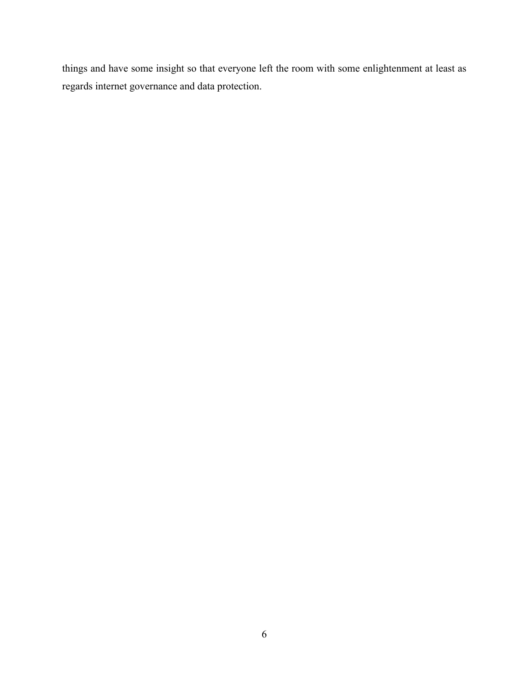things and have some insight so that everyone left the room with some enlightenment at least as regards internet governance and data protection.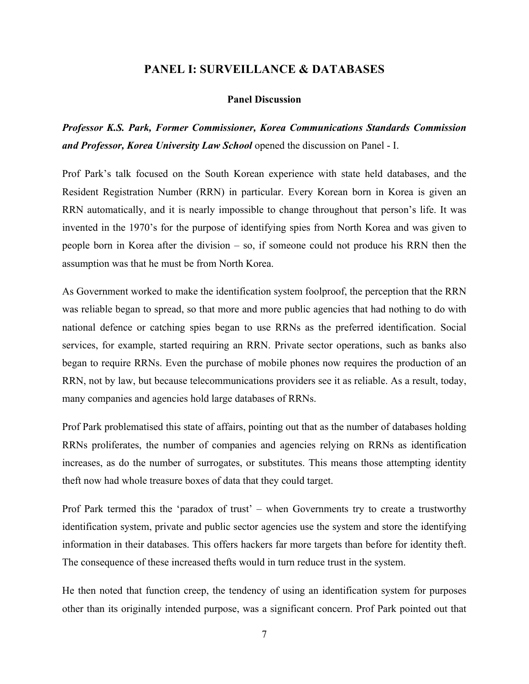## **PANEL I: SURVEILLANCE & DATABASES**

#### **Panel Discussion**

*Professor K.S. Park, Former Commissioner, Korea Communications Standards Commission and Professor, Korea University Law School* opened the discussion on Panel - I.

Prof Park's talk focused on the South Korean experience with state held databases, and the Resident Registration Number (RRN) in particular. Every Korean born in Korea is given an RRN automatically, and it is nearly impossible to change throughout that person's life. It was invented in the 1970's for the purpose of identifying spies from North Korea and was given to people born in Korea after the division – so, if someone could not produce his RRN then the assumption was that he must be from North Korea.

As Government worked to make the identification system foolproof, the perception that the RRN was reliable began to spread, so that more and more public agencies that had nothing to do with national defence or catching spies began to use RRNs as the preferred identification. Social services, for example, started requiring an RRN. Private sector operations, such as banks also began to require RRNs. Even the purchase of mobile phones now requires the production of an RRN, not by law, but because telecommunications providers see it as reliable. As a result, today, many companies and agencies hold large databases of RRNs.

Prof Park problematised this state of affairs, pointing out that as the number of databases holding RRNs proliferates, the number of companies and agencies relying on RRNs as identification increases, as do the number of surrogates, or substitutes. This means those attempting identity theft now had whole treasure boxes of data that they could target.

Prof Park termed this the 'paradox of trust' – when Governments try to create a trustworthy identification system, private and public sector agencies use the system and store the identifying information in their databases. This offers hackers far more targets than before for identity theft. The consequence of these increased thefts would in turn reduce trust in the system.

He then noted that function creep, the tendency of using an identification system for purposes other than its originally intended purpose, was a significant concern. Prof Park pointed out that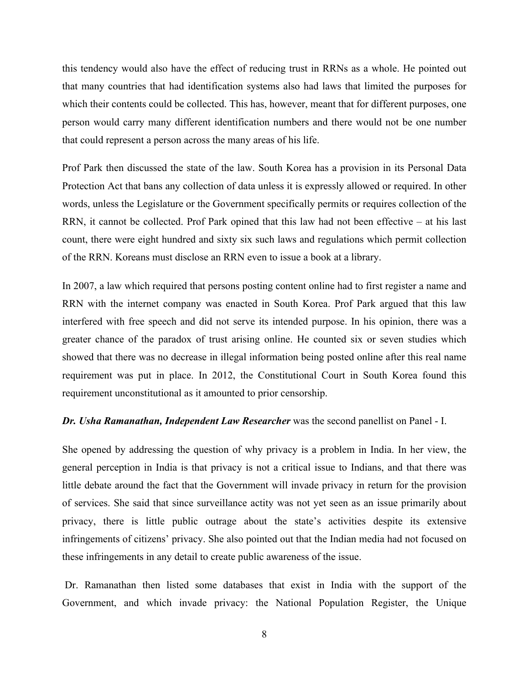this tendency would also have the effect of reducing trust in RRNs as a whole. He pointed out that many countries that had identification systems also had laws that limited the purposes for which their contents could be collected. This has, however, meant that for different purposes, one person would carry many different identification numbers and there would not be one number that could represent a person across the many areas of his life.

Prof Park then discussed the state of the law. South Korea has a provision in its Personal Data Protection Act that bans any collection of data unless it is expressly allowed or required. In other words, unless the Legislature or the Government specifically permits or requires collection of the RRN, it cannot be collected. Prof Park opined that this law had not been effective – at his last count, there were eight hundred and sixty six such laws and regulations which permit collection of the RRN. Koreans must disclose an RRN even to issue a book at a library.

In 2007, a law which required that persons posting content online had to first register a name and RRN with the internet company was enacted in South Korea. Prof Park argued that this law interfered with free speech and did not serve its intended purpose. In his opinion, there was a greater chance of the paradox of trust arising online. He counted six or seven studies which showed that there was no decrease in illegal information being posted online after this real name requirement was put in place. In 2012, the Constitutional Court in South Korea found this requirement unconstitutional as it amounted to prior censorship.

#### *Dr. Usha Ramanathan, Independent Law Researcher* was the second panellist on Panel - I.

She opened by addressing the question of why privacy is a problem in India. In her view, the general perception in India is that privacy is not a critical issue to Indians, and that there was little debate around the fact that the Government will invade privacy in return for the provision of services. She said that since surveillance actity was not yet seen as an issue primarily about privacy, there is little public outrage about the state's activities despite its extensive infringements of citizens' privacy. She also pointed out that the Indian media had not focused on these infringements in any detail to create public awareness of the issue.

Dr. Ramanathan then listed some databases that exist in India with the support of the Government, and which invade privacy: the National Population Register, the Unique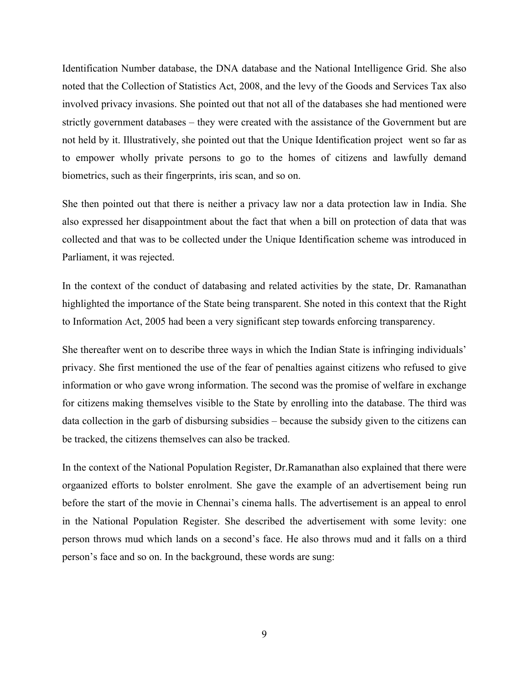Identification Number database, the DNA database and the National Intelligence Grid. She also noted that the Collection of Statistics Act, 2008, and the levy of the Goods and Services Tax also involved privacy invasions. She pointed out that not all of the databases she had mentioned were strictly government databases – they were created with the assistance of the Government but are not held by it. Illustratively, she pointed out that the Unique Identification project went so far as to empower wholly private persons to go to the homes of citizens and lawfully demand biometrics, such as their fingerprints, iris scan, and so on.

She then pointed out that there is neither a privacy law nor a data protection law in India. She also expressed her disappointment about the fact that when a bill on protection of data that was collected and that was to be collected under the Unique Identification scheme was introduced in Parliament, it was rejected.

In the context of the conduct of databasing and related activities by the state, Dr. Ramanathan highlighted the importance of the State being transparent. She noted in this context that the Right to Information Act, 2005 had been a very significant step towards enforcing transparency.

She thereafter went on to describe three ways in which the Indian State is infringing individuals' privacy. She first mentioned the use of the fear of penalties against citizens who refused to give information or who gave wrong information. The second was the promise of welfare in exchange for citizens making themselves visible to the State by enrolling into the database. The third was data collection in the garb of disbursing subsidies – because the subsidy given to the citizens can be tracked, the citizens themselves can also be tracked.

In the context of the National Population Register, Dr.Ramanathan also explained that there were orgaanized efforts to bolster enrolment. She gave the example of an advertisement being run before the start of the movie in Chennai's cinema halls. The advertisement is an appeal to enrol in the National Population Register. She described the advertisement with some levity: one person throws mud which lands on a second's face. He also throws mud and it falls on a third person's face and so on. In the background, these words are sung: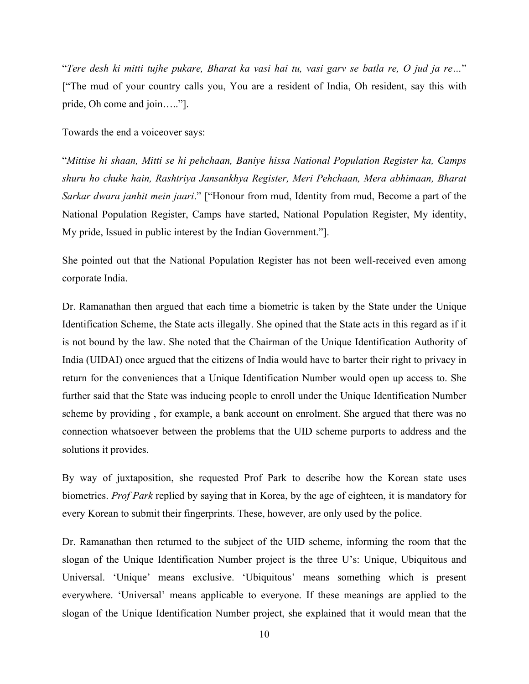"*Tere desh ki mitti tujhe pukare, Bharat ka vasi hai tu, vasi garv se batla re, O jud ja re…*" ["The mud of your country calls you, You are a resident of India, Oh resident, say this with pride, Oh come and join….."].

Towards the end a voiceover says:

"*Mittise hi shaan, Mitti se hi pehchaan, Baniye hissa National Population Register ka, Camps shuru ho chuke hain, Rashtriya Jansankhya Register, Meri Pehchaan, Mera abhimaan, Bharat Sarkar dwara janhit mein jaari*." ["Honour from mud, Identity from mud, Become a part of the National Population Register, Camps have started, National Population Register, My identity, My pride, Issued in public interest by the Indian Government."].

She pointed out that the National Population Register has not been well-received even among corporate India.

Dr. Ramanathan then argued that each time a biometric is taken by the State under the Unique Identification Scheme, the State acts illegally. She opined that the State acts in this regard as if it is not bound by the law. She noted that the Chairman of the Unique Identification Authority of India (UIDAI) once argued that the citizens of India would have to barter their right to privacy in return for the conveniences that a Unique Identification Number would open up access to. She further said that the State was inducing people to enroll under the Unique Identification Number scheme by providing , for example, a bank account on enrolment. She argued that there was no connection whatsoever between the problems that the UID scheme purports to address and the solutions it provides.

By way of juxtaposition, she requested Prof Park to describe how the Korean state uses biometrics. *Prof Park* replied by saying that in Korea, by the age of eighteen, it is mandatory for every Korean to submit their fingerprints. These, however, are only used by the police.

Dr. Ramanathan then returned to the subject of the UID scheme, informing the room that the slogan of the Unique Identification Number project is the three U's: Unique, Ubiquitous and Universal. 'Unique' means exclusive. 'Ubiquitous' means something which is present everywhere. 'Universal' means applicable to everyone. If these meanings are applied to the slogan of the Unique Identification Number project, she explained that it would mean that the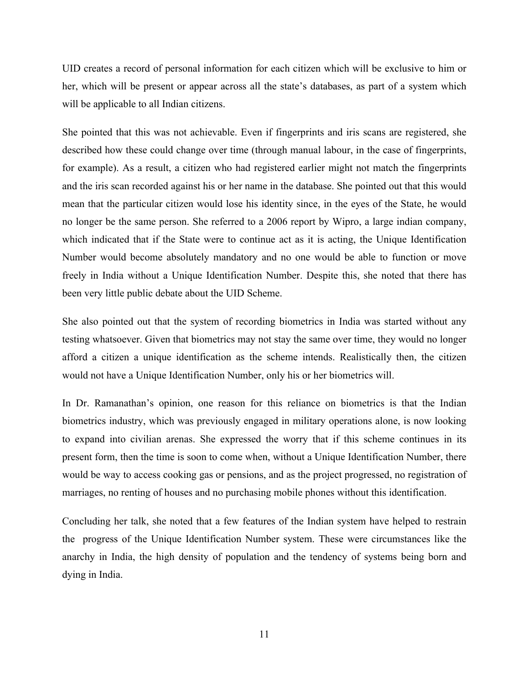UID creates a record of personal information for each citizen which will be exclusive to him or her, which will be present or appear across all the state's databases, as part of a system which will be applicable to all Indian citizens.

She pointed that this was not achievable. Even if fingerprints and iris scans are registered, she described how these could change over time (through manual labour, in the case of fingerprints, for example). As a result, a citizen who had registered earlier might not match the fingerprints and the iris scan recorded against his or her name in the database. She pointed out that this would mean that the particular citizen would lose his identity since, in the eyes of the State, he would no longer be the same person. She referred to a 2006 report by Wipro, a large indian company, which indicated that if the State were to continue act as it is acting, the Unique Identification Number would become absolutely mandatory and no one would be able to function or move freely in India without a Unique Identification Number. Despite this, she noted that there has been very little public debate about the UID Scheme.

She also pointed out that the system of recording biometrics in India was started without any testing whatsoever. Given that biometrics may not stay the same over time, they would no longer afford a citizen a unique identification as the scheme intends. Realistically then, the citizen would not have a Unique Identification Number, only his or her biometrics will.

In Dr. Ramanathan's opinion, one reason for this reliance on biometrics is that the Indian biometrics industry, which was previously engaged in military operations alone, is now looking to expand into civilian arenas. She expressed the worry that if this scheme continues in its present form, then the time is soon to come when, without a Unique Identification Number, there would be way to access cooking gas or pensions, and as the project progressed, no registration of marriages, no renting of houses and no purchasing mobile phones without this identification.

Concluding her talk, she noted that a few features of the Indian system have helped to restrain the progress of the Unique Identification Number system. These were circumstances like the anarchy in India, the high density of population and the tendency of systems being born and dying in India.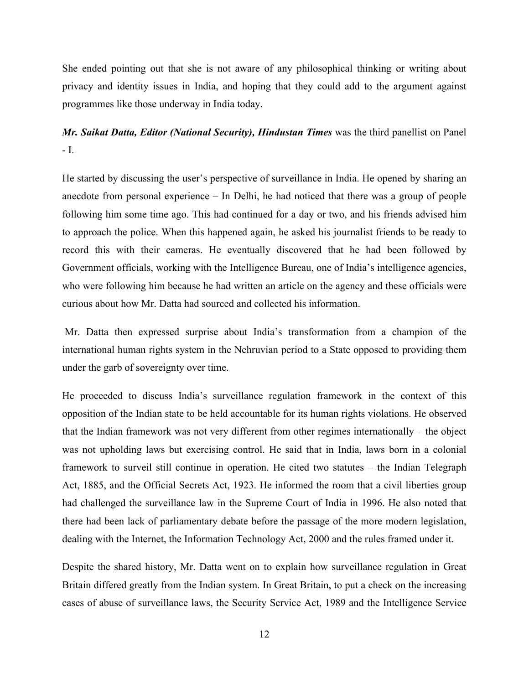She ended pointing out that she is not aware of any philosophical thinking or writing about privacy and identity issues in India, and hoping that they could add to the argument against programmes like those underway in India today.

## *Mr. Saikat Datta, Editor (National Security), Hindustan Times* was the third panellist on Panel - I.

He started by discussing the user's perspective of surveillance in India. He opened by sharing an anecdote from personal experience – In Delhi, he had noticed that there was a group of people following him some time ago. This had continued for a day or two, and his friends advised him to approach the police. When this happened again, he asked his journalist friends to be ready to record this with their cameras. He eventually discovered that he had been followed by Government officials, working with the Intelligence Bureau, one of India's intelligence agencies, who were following him because he had written an article on the agency and these officials were curious about how Mr. Datta had sourced and collected his information.

Mr. Datta then expressed surprise about India's transformation from a champion of the international human rights system in the Nehruvian period to a State opposed to providing them under the garb of sovereignty over time.

He proceeded to discuss India's surveillance regulation framework in the context of this opposition of the Indian state to be held accountable for its human rights violations. He observed that the Indian framework was not very different from other regimes internationally – the object was not upholding laws but exercising control. He said that in India, laws born in a colonial framework to surveil still continue in operation. He cited two statutes – the Indian Telegraph Act, 1885, and the Official Secrets Act, 1923. He informed the room that a civil liberties group had challenged the surveillance law in the Supreme Court of India in 1996. He also noted that there had been lack of parliamentary debate before the passage of the more modern legislation, dealing with the Internet, the Information Technology Act, 2000 and the rules framed under it.

Despite the shared history, Mr. Datta went on to explain how surveillance regulation in Great Britain differed greatly from the Indian system. In Great Britain, to put a check on the increasing cases of abuse of surveillance laws, the Security Service Act, 1989 and the Intelligence Service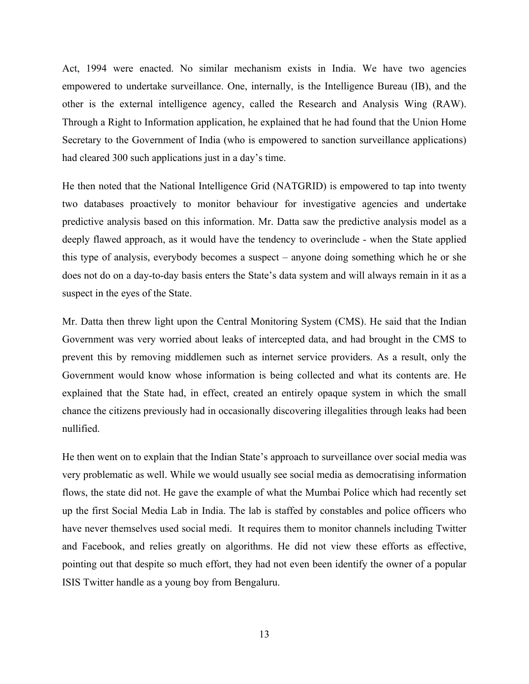Act, 1994 were enacted. No similar mechanism exists in India. We have two agencies empowered to undertake surveillance. One, internally, is the Intelligence Bureau (IB), and the other is the external intelligence agency, called the Research and Analysis Wing (RAW). Through a Right to Information application, he explained that he had found that the Union Home Secretary to the Government of India (who is empowered to sanction surveillance applications) had cleared 300 such applications just in a day's time.

He then noted that the National Intelligence Grid (NATGRID) is empowered to tap into twenty two databases proactively to monitor behaviour for investigative agencies and undertake predictive analysis based on this information. Mr. Datta saw the predictive analysis model as a deeply flawed approach, as it would have the tendency to overinclude - when the State applied this type of analysis, everybody becomes a suspect – anyone doing something which he or she does not do on a day-to-day basis enters the State's data system and will always remain in it as a suspect in the eyes of the State.

Mr. Datta then threw light upon the Central Monitoring System (CMS). He said that the Indian Government was very worried about leaks of intercepted data, and had brought in the CMS to prevent this by removing middlemen such as internet service providers. As a result, only the Government would know whose information is being collected and what its contents are. He explained that the State had, in effect, created an entirely opaque system in which the small chance the citizens previously had in occasionally discovering illegalities through leaks had been nullified.

He then went on to explain that the Indian State's approach to surveillance over social media was very problematic as well. While we would usually see social media as democratising information flows, the state did not. He gave the example of what the Mumbai Police which had recently set up the first Social Media Lab in India. The lab is staffed by constables and police officers who have never themselves used social medi. It requires them to monitor channels including Twitter and Facebook, and relies greatly on algorithms. He did not view these efforts as effective, pointing out that despite so much effort, they had not even been identify the owner of a popular ISIS Twitter handle as a young boy from Bengaluru.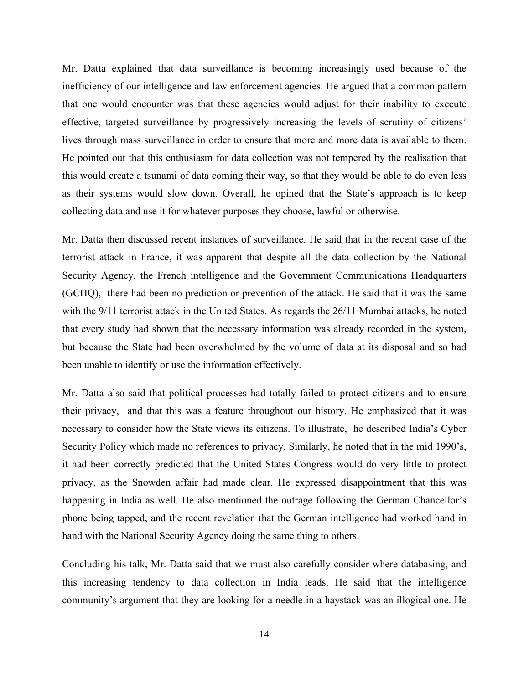Mr. Datta explained that data surveillance is becoming increasingly used because of the inefficiency of our intelligence and law enforcement agencies. He argued that a common pattern that one would encounter was that these agencies would adjust for their inability to execute effective, targeted surveillance by progressively increasing the levels of scrutiny of citizens' lives through mass surveillance in order to ensure that more and more data is available to them. He pointed out that this enthusiasm for data collection was not tempered by the realisation that this would create a tsunami of data coming their way, so that they would be able to do even less as their systems would slow down. Overall, he opined that the State's approach is to keep collecting data and use it for whatever purposes they choose, lawful or otherwise.

Mr. Datta then discussed recent instances of surveillance. He said that in the recent case of the terrorist attack in France, it was apparent that despite all the data collection by the National Security Agency, the French intelligence and the Government Communications Headquarters (GCHQ), there had been no prediction or prevention of the attack. He said that it was the same with the 9/11 terrorist attack in the United States. As regards the 26/11 Mumbai attacks, he noted that every study had shown that the necessary information was already recorded in the system, but because the State had been overwhelmed by the volume of data at its disposal and so had been unable to identify or use the information effectively.

Mr. Datta also said that political processes had totally failed to protect citizens and to ensure their privacy, and that this was a feature throughout our history. He emphasized that it was necessary to consider how the State views its citizens. To illustrate, he described India's Cyber Security Policy which made no references to privacy. Similarly, he noted that in the mid 1990's, it had been correctly predicted that the United States Congress would do very little to protect privacy, as the Snowden affair had made clear. He expressed disappointment that this was happening in India as well. He also mentioned the outrage following the German Chancellor's phone being tapped, and the recent revelation that the German intelligence had worked hand in hand with the National Security Agency doing the same thing to others.

Concluding his talk, Mr. Datta said that we must also carefully consider where databasing, and this increasing tendency to data collection in India leads. He said that the intelligence community's argument that they are looking for a needle in a haystack was an illogical one. He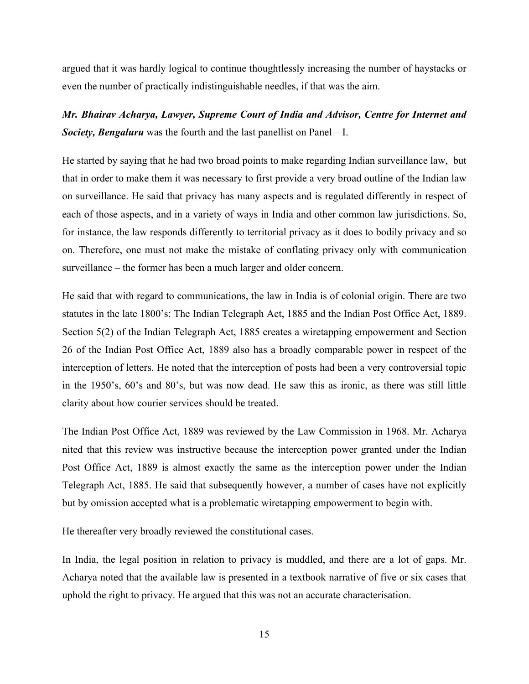argued that it was hardly logical to continue thoughtlessly increasing the number of haystacks or even the number of practically indistinguishable needles, if that was the aim.

*Mr. Bhairav Acharya, Lawyer, Supreme Court of India and Advisor, Centre for Internet and Society, Bengaluru* was the fourth and the last panellist on Panel – I.

He started by saying that he had two broad points to make regarding Indian surveillance law, but that in order to make them it was necessary to first provide a very broad outline of the Indian law on surveillance. He said that privacy has many aspects and is regulated differently in respect of each of those aspects, and in a variety of ways in India and other common law jurisdictions. So, for instance, the law responds differently to territorial privacy as it does to bodily privacy and so on. Therefore, one must not make the mistake of conflating privacy only with communication surveillance – the former has been a much larger and older concern.

He said that with regard to communications, the law in India is of colonial origin. There are two statutes in the late 1800's: The Indian Telegraph Act, 1885 and the Indian Post Office Act, 1889. Section 5(2) of the Indian Telegraph Act, 1885 creates a wiretapping empowerment and Section 26 of the Indian Post Office Act, 1889 also has a broadly comparable power in respect of the interception of letters. He noted that the interception of posts had been a very controversial topic in the 1950's, 60's and 80's, but was now dead. He saw this as ironic, as there was still little clarity about how courier services should be treated.

The Indian Post Office Act, 1889 was reviewed by the Law Commission in 1968. Mr. Acharya nited that this review was instructive because the interception power granted under the Indian Post Office Act, 1889 is almost exactly the same as the interception power under the Indian Telegraph Act, 1885. He said that subsequently however, a number of cases have not explicitly but by omission accepted what is a problematic wiretapping empowerment to begin with.

He thereafter very broadly reviewed the constitutional cases.

In India, the legal position in relation to privacy is muddled, and there are a lot of gaps. Mr. Acharya noted that the available law is presented in a textbook narrative of five or six cases that uphold the right to privacy. He argued that this was not an accurate characterisation.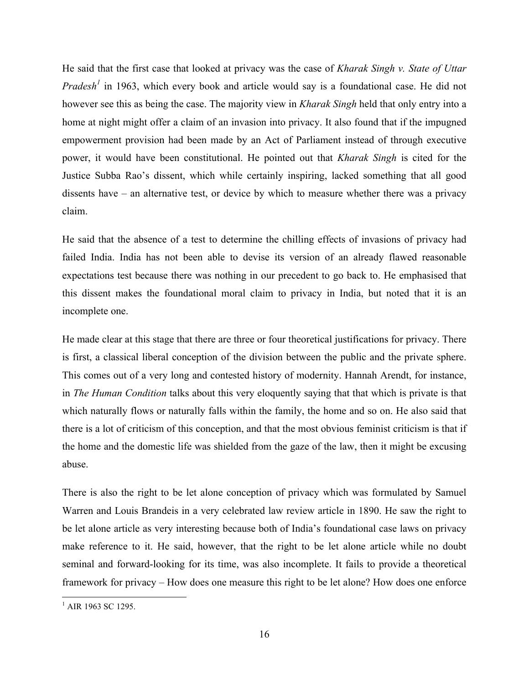He said that the first case that looked at privacy was the case of *Kharak Singh v. State of Uttar Pradesh<sup>1</sup>* in 1963, which every book and article would say is a foundational case. He did not however see this as being the case. The majority view in *Kharak Singh* held that only entry into a home at night might offer a claim of an invasion into privacy. It also found that if the impugned empowerment provision had been made by an Act of Parliament instead of through executive power, it would have been constitutional. He pointed out that *Kharak Singh* is cited for the Justice Subba Rao's dissent, which while certainly inspiring, lacked something that all good dissents have – an alternative test, or device by which to measure whether there was a privacy claim.

He said that the absence of a test to determine the chilling effects of invasions of privacy had failed India. India has not been able to devise its version of an already flawed reasonable expectations test because there was nothing in our precedent to go back to. He emphasised that this dissent makes the foundational moral claim to privacy in India, but noted that it is an incomplete one.

He made clear at this stage that there are three or four theoretical justifications for privacy. There is first, a classical liberal conception of the division between the public and the private sphere. This comes out of a very long and contested history of modernity. Hannah Arendt, for instance, in *The Human Condition* talks about this very eloquently saying that that which is private is that which naturally flows or naturally falls within the family, the home and so on. He also said that there is a lot of criticism of this conception, and that the most obvious feminist criticism is that if the home and the domestic life was shielded from the gaze of the law, then it might be excusing abuse.

There is also the right to be let alone conception of privacy which was formulated by Samuel Warren and Louis Brandeis in a very celebrated law review article in 1890. He saw the right to be let alone article as very interesting because both of India's foundational case laws on privacy make reference to it. He said, however, that the right to be let alone article while no doubt seminal and forward-looking for its time, was also incomplete. It fails to provide a theoretical framework for privacy – How does one measure this right to be let alone? How does one enforce

 

<sup>&</sup>lt;sup>1</sup> AIR 1963 SC 1295.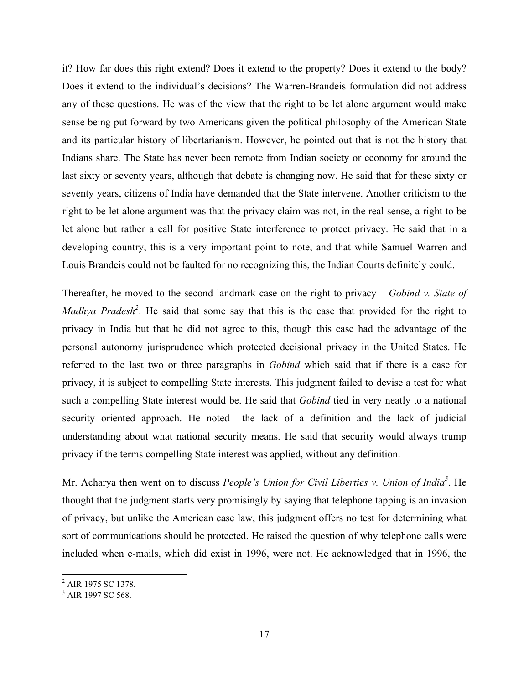it? How far does this right extend? Does it extend to the property? Does it extend to the body? Does it extend to the individual's decisions? The Warren-Brandeis formulation did not address any of these questions. He was of the view that the right to be let alone argument would make sense being put forward by two Americans given the political philosophy of the American State and its particular history of libertarianism. However, he pointed out that is not the history that Indians share. The State has never been remote from Indian society or economy for around the last sixty or seventy years, although that debate is changing now. He said that for these sixty or seventy years, citizens of India have demanded that the State intervene. Another criticism to the right to be let alone argument was that the privacy claim was not, in the real sense, a right to be let alone but rather a call for positive State interference to protect privacy. He said that in a developing country, this is a very important point to note, and that while Samuel Warren and Louis Brandeis could not be faulted for no recognizing this, the Indian Courts definitely could.

Thereafter, he moved to the second landmark case on the right to privacy – *Gobind v. State of Madhya Pradesh*<sup>2</sup>. He said that some say that this is the case that provided for the right to privacy in India but that he did not agree to this, though this case had the advantage of the personal autonomy jurisprudence which protected decisional privacy in the United States. He referred to the last two or three paragraphs in *Gobind* which said that if there is a case for privacy, it is subject to compelling State interests. This judgment failed to devise a test for what such a compelling State interest would be. He said that *Gobind* tied in very neatly to a national security oriented approach. He noted the lack of a definition and the lack of judicial understanding about what national security means. He said that security would always trump privacy if the terms compelling State interest was applied, without any definition.

Mr. Acharya then went on to discuss *People's Union for Civil Liberties v. Union of India<sup>3</sup>* . He thought that the judgment starts very promisingly by saying that telephone tapping is an invasion of privacy, but unlike the American case law, this judgment offers no test for determining what sort of communications should be protected. He raised the question of why telephone calls were included when e-mails, which did exist in 1996, were not. He acknowledged that in 1996, the

<u> 1989 - Johann Stein, markin film yn y breninn y breninn y breninn y breninn y breninn y breninn y breninn y b</u>

<sup>&</sup>lt;sup>2</sup> AIR 1975 SC 1378.

<sup>&</sup>lt;sup>3</sup> AIR 1997 SC 568.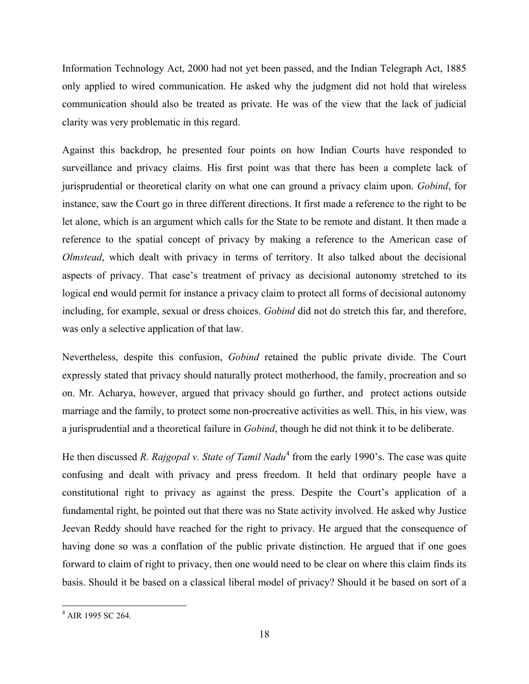Information Technology Act, 2000 had not yet been passed, and the Indian Telegraph Act, 1885 only applied to wired communication. He asked why the judgment did not hold that wireless communication should also be treated as private. He was of the view that the lack of judicial clarity was very problematic in this regard.

Against this backdrop, he presented four points on how Indian Courts have responded to surveillance and privacy claims. His first point was that there has been a complete lack of jurisprudential or theoretical clarity on what one can ground a privacy claim upon. *Gobind*, for instance, saw the Court go in three different directions. It first made a reference to the right to be let alone, which is an argument which calls for the State to be remote and distant. It then made a reference to the spatial concept of privacy by making a reference to the American case of *Olmstead*, which dealt with privacy in terms of territory. It also talked about the decisional aspects of privacy. That case's treatment of privacy as decisional autonomy stretched to its logical end would permit for instance a privacy claim to protect all forms of decisional autonomy including, for example, sexual or dress choices. *Gobind* did not do stretch this far, and therefore, was only a selective application of that law.

Nevertheless, despite this confusion, *Gobind* retained the public private divide. The Court expressly stated that privacy should naturally protect motherhood, the family, procreation and so on. Mr. Acharya, however, argued that privacy should go further, and protect actions outside marriage and the family, to protect some non-procreative activities as well. This, in his view, was a jurisprudential and a theoretical failure in *Gobind*, though he did not think it to be deliberate.

He then discussed *R. Rajgopal v. State of Tamil Nadu*<sup>4</sup> from the early 1990's. The case was quite confusing and dealt with privacy and press freedom. It held that ordinary people have a constitutional right to privacy as against the press. Despite the Court's application of a fundamental right, he pointed out that there was no State activity involved. He asked why Justice Jeevan Reddy should have reached for the right to privacy. He argued that the consequence of having done so was a conflation of the public private distinction. He argued that if one goes forward to claim of right to privacy, then one would need to be clear on where this claim finds its basis. Should it be based on a classical liberal model of privacy? Should it be based on sort of a

 

<sup>&</sup>lt;sup>4</sup> AIR 1995 SC 264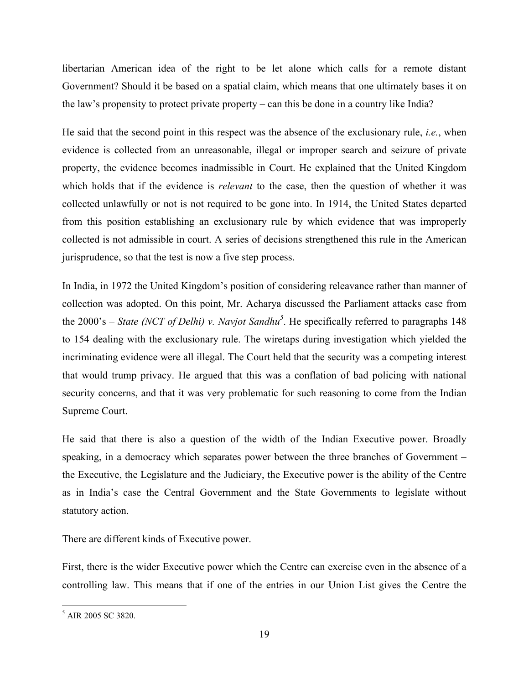libertarian American idea of the right to be let alone which calls for a remote distant Government? Should it be based on a spatial claim, which means that one ultimately bases it on the law's propensity to protect private property – can this be done in a country like India?

He said that the second point in this respect was the absence of the exclusionary rule, *i.e.*, when evidence is collected from an unreasonable, illegal or improper search and seizure of private property, the evidence becomes inadmissible in Court. He explained that the United Kingdom which holds that if the evidence is *relevant* to the case, then the question of whether it was collected unlawfully or not is not required to be gone into. In 1914, the United States departed from this position establishing an exclusionary rule by which evidence that was improperly collected is not admissible in court. A series of decisions strengthened this rule in the American jurisprudence, so that the test is now a five step process.

In India, in 1972 the United Kingdom's position of considering releavance rather than manner of collection was adopted. On this point, Mr. Acharya discussed the Parliament attacks case from the 2000's – *State (NCT of Delhi) v. Navjot Sandhu<sup>5</sup>* . He specifically referred to paragraphs 148 to 154 dealing with the exclusionary rule. The wiretaps during investigation which yielded the incriminating evidence were all illegal. The Court held that the security was a competing interest that would trump privacy. He argued that this was a conflation of bad policing with national security concerns, and that it was very problematic for such reasoning to come from the Indian Supreme Court.

He said that there is also a question of the width of the Indian Executive power. Broadly speaking, in a democracy which separates power between the three branches of Government – the Executive, the Legislature and the Judiciary, the Executive power is the ability of the Centre as in India's case the Central Government and the State Governments to legislate without statutory action.

There are different kinds of Executive power.

First, there is the wider Executive power which the Centre can exercise even in the absence of a controlling law. This means that if one of the entries in our Union List gives the Centre the

 

<sup>&</sup>lt;sup>5</sup> AIR 2005 SC 3820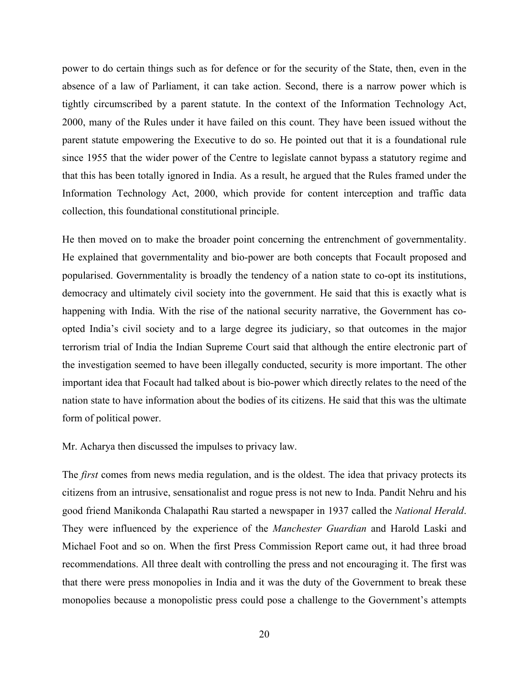power to do certain things such as for defence or for the security of the State, then, even in the absence of a law of Parliament, it can take action. Second, there is a narrow power which is tightly circumscribed by a parent statute. In the context of the Information Technology Act, 2000, many of the Rules under it have failed on this count. They have been issued without the parent statute empowering the Executive to do so. He pointed out that it is a foundational rule since 1955 that the wider power of the Centre to legislate cannot bypass a statutory regime and that this has been totally ignored in India. As a result, he argued that the Rules framed under the Information Technology Act, 2000, which provide for content interception and traffic data collection, this foundational constitutional principle.

He then moved on to make the broader point concerning the entrenchment of governmentality. He explained that governmentality and bio-power are both concepts that Focault proposed and popularised. Governmentality is broadly the tendency of a nation state to co-opt its institutions, democracy and ultimately civil society into the government. He said that this is exactly what is happening with India. With the rise of the national security narrative, the Government has coopted India's civil society and to a large degree its judiciary, so that outcomes in the major terrorism trial of India the Indian Supreme Court said that although the entire electronic part of the investigation seemed to have been illegally conducted, security is more important. The other important idea that Focault had talked about is bio-power which directly relates to the need of the nation state to have information about the bodies of its citizens. He said that this was the ultimate form of political power.

Mr. Acharya then discussed the impulses to privacy law.

The *first* comes from news media regulation, and is the oldest. The idea that privacy protects its citizens from an intrusive, sensationalist and rogue press is not new to Inda. Pandit Nehru and his good friend Manikonda Chalapathi Rau started a newspaper in 1937 called the *National Herald*. They were influenced by the experience of the *Manchester Guardian* and Harold Laski and Michael Foot and so on. When the first Press Commission Report came out, it had three broad recommendations. All three dealt with controlling the press and not encouraging it. The first was that there were press monopolies in India and it was the duty of the Government to break these monopolies because a monopolistic press could pose a challenge to the Government's attempts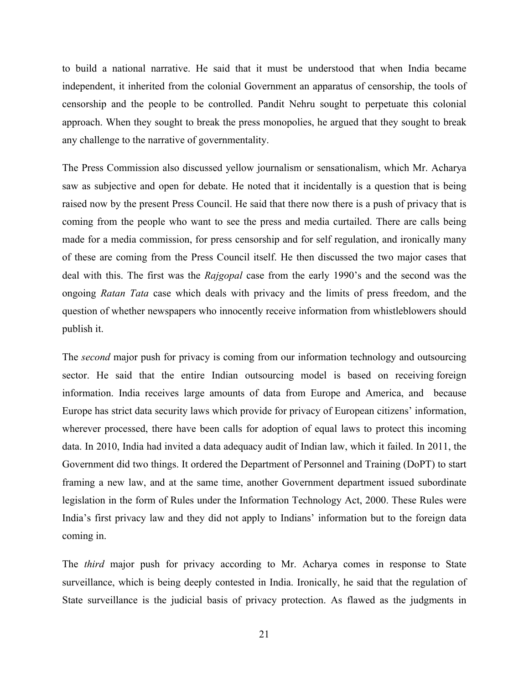to build a national narrative. He said that it must be understood that when India became independent, it inherited from the colonial Government an apparatus of censorship, the tools of censorship and the people to be controlled. Pandit Nehru sought to perpetuate this colonial approach. When they sought to break the press monopolies, he argued that they sought to break any challenge to the narrative of governmentality.

The Press Commission also discussed yellow journalism or sensationalism, which Mr. Acharya saw as subjective and open for debate. He noted that it incidentally is a question that is being raised now by the present Press Council. He said that there now there is a push of privacy that is coming from the people who want to see the press and media curtailed. There are calls being made for a media commission, for press censorship and for self regulation, and ironically many of these are coming from the Press Council itself. He then discussed the two major cases that deal with this. The first was the *Rajgopal* case from the early 1990's and the second was the ongoing *Ratan Tata* case which deals with privacy and the limits of press freedom, and the question of whether newspapers who innocently receive information from whistleblowers should publish it.

The *second* major push for privacy is coming from our information technology and outsourcing sector. He said that the entire Indian outsourcing model is based on receiving foreign information. India receives large amounts of data from Europe and America, and because Europe has strict data security laws which provide for privacy of European citizens' information, wherever processed, there have been calls for adoption of equal laws to protect this incoming data. In 2010, India had invited a data adequacy audit of Indian law, which it failed. In 2011, the Government did two things. It ordered the Department of Personnel and Training (DoPT) to start framing a new law, and at the same time, another Government department issued subordinate legislation in the form of Rules under the Information Technology Act, 2000. These Rules were India's first privacy law and they did not apply to Indians' information but to the foreign data coming in.

The *third* major push for privacy according to Mr. Acharya comes in response to State surveillance, which is being deeply contested in India. Ironically, he said that the regulation of State surveillance is the judicial basis of privacy protection. As flawed as the judgments in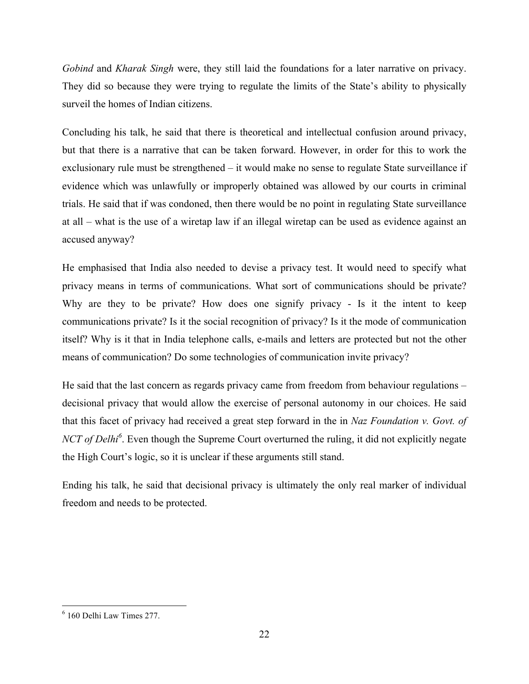*Gobind* and *Kharak Singh* were, they still laid the foundations for a later narrative on privacy. They did so because they were trying to regulate the limits of the State's ability to physically surveil the homes of Indian citizens.

Concluding his talk, he said that there is theoretical and intellectual confusion around privacy, but that there is a narrative that can be taken forward. However, in order for this to work the exclusionary rule must be strengthened – it would make no sense to regulate State surveillance if evidence which was unlawfully or improperly obtained was allowed by our courts in criminal trials. He said that if was condoned, then there would be no point in regulating State surveillance at all – what is the use of a wiretap law if an illegal wiretap can be used as evidence against an accused anyway?

He emphasised that India also needed to devise a privacy test. It would need to specify what privacy means in terms of communications. What sort of communications should be private? Why are they to be private? How does one signify privacy - Is it the intent to keep communications private? Is it the social recognition of privacy? Is it the mode of communication itself? Why is it that in India telephone calls, e-mails and letters are protected but not the other means of communication? Do some technologies of communication invite privacy?

He said that the last concern as regards privacy came from freedom from behaviour regulations – decisional privacy that would allow the exercise of personal autonomy in our choices. He said that this facet of privacy had received a great step forward in the in *Naz Foundation v. Govt. of NCT of Delhi*<sup>6</sup>. Even though the Supreme Court overturned the ruling, it did not explicitly negate the High Court's logic, so it is unclear if these arguments still stand.

Ending his talk, he said that decisional privacy is ultimately the only real marker of individual freedom and needs to be protected.

 

<sup>6</sup> 160 Delhi Law Times 277.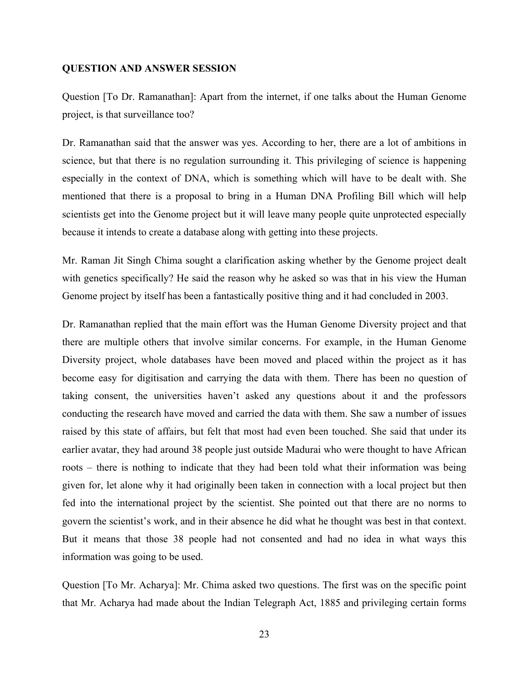#### **QUESTION AND ANSWER SESSION**

Question [To Dr. Ramanathan]: Apart from the internet, if one talks about the Human Genome project, is that surveillance too?

Dr. Ramanathan said that the answer was yes. According to her, there are a lot of ambitions in science, but that there is no regulation surrounding it. This privileging of science is happening especially in the context of DNA, which is something which will have to be dealt with. She mentioned that there is a proposal to bring in a Human DNA Profiling Bill which will help scientists get into the Genome project but it will leave many people quite unprotected especially because it intends to create a database along with getting into these projects.

Mr. Raman Jit Singh Chima sought a clarification asking whether by the Genome project dealt with genetics specifically? He said the reason why he asked so was that in his view the Human Genome project by itself has been a fantastically positive thing and it had concluded in 2003.

Dr. Ramanathan replied that the main effort was the Human Genome Diversity project and that there are multiple others that involve similar concerns. For example, in the Human Genome Diversity project, whole databases have been moved and placed within the project as it has become easy for digitisation and carrying the data with them. There has been no question of taking consent, the universities haven't asked any questions about it and the professors conducting the research have moved and carried the data with them. She saw a number of issues raised by this state of affairs, but felt that most had even been touched. She said that under its earlier avatar, they had around 38 people just outside Madurai who were thought to have African roots – there is nothing to indicate that they had been told what their information was being given for, let alone why it had originally been taken in connection with a local project but then fed into the international project by the scientist. She pointed out that there are no norms to govern the scientist's work, and in their absence he did what he thought was best in that context. But it means that those 38 people had not consented and had no idea in what ways this information was going to be used.

Question [To Mr. Acharya]: Mr. Chima asked two questions. The first was on the specific point that Mr. Acharya had made about the Indian Telegraph Act, 1885 and privileging certain forms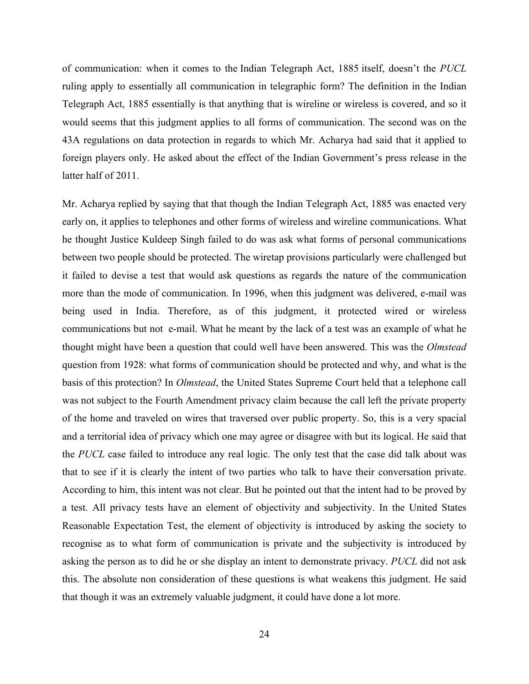of communication: when it comes to the Indian Telegraph Act, 1885 itself, doesn't the *PUCL* ruling apply to essentially all communication in telegraphic form? The definition in the Indian Telegraph Act, 1885 essentially is that anything that is wireline or wireless is covered, and so it would seems that this judgment applies to all forms of communication. The second was on the 43A regulations on data protection in regards to which Mr. Acharya had said that it applied to foreign players only. He asked about the effect of the Indian Government's press release in the latter half of 2011.

Mr. Acharya replied by saying that that though the Indian Telegraph Act, 1885 was enacted very early on, it applies to telephones and other forms of wireless and wireline communications. What he thought Justice Kuldeep Singh failed to do was ask what forms of personal communications between two people should be protected. The wiretap provisions particularly were challenged but it failed to devise a test that would ask questions as regards the nature of the communication more than the mode of communication. In 1996, when this judgment was delivered, e-mail was being used in India. Therefore, as of this judgment, it protected wired or wireless communications but not e-mail. What he meant by the lack of a test was an example of what he thought might have been a question that could well have been answered. This was the *Olmstead* question from 1928: what forms of communication should be protected and why, and what is the basis of this protection? In *Olmstead*, the United States Supreme Court held that a telephone call was not subject to the Fourth Amendment privacy claim because the call left the private property of the home and traveled on wires that traversed over public property. So, this is a very spacial and a territorial idea of privacy which one may agree or disagree with but its logical. He said that the *PUCL* case failed to introduce any real logic. The only test that the case did talk about was that to see if it is clearly the intent of two parties who talk to have their conversation private. According to him, this intent was not clear. But he pointed out that the intent had to be proved by a test. All privacy tests have an element of objectivity and subjectivity. In the United States Reasonable Expectation Test, the element of objectivity is introduced by asking the society to recognise as to what form of communication is private and the subjectivity is introduced by asking the person as to did he or she display an intent to demonstrate privacy. *PUCL* did not ask this. The absolute non consideration of these questions is what weakens this judgment. He said that though it was an extremely valuable judgment, it could have done a lot more.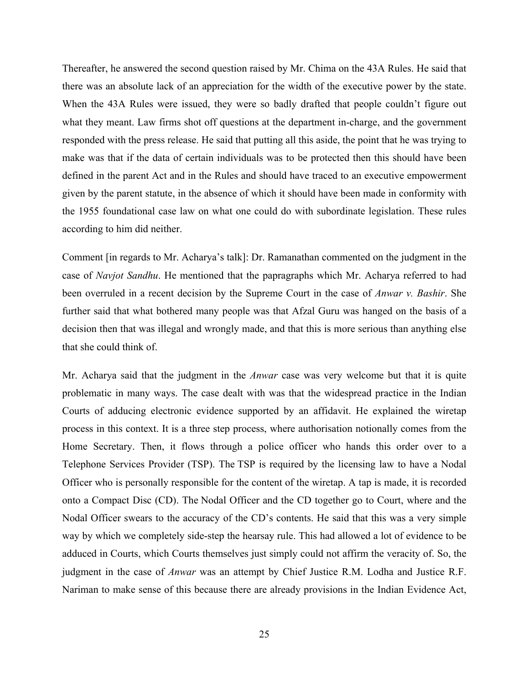Thereafter, he answered the second question raised by Mr. Chima on the 43A Rules. He said that there was an absolute lack of an appreciation for the width of the executive power by the state. When the 43A Rules were issued, they were so badly drafted that people couldn't figure out what they meant. Law firms shot off questions at the department in-charge, and the government responded with the press release. He said that putting all this aside, the point that he was trying to make was that if the data of certain individuals was to be protected then this should have been defined in the parent Act and in the Rules and should have traced to an executive empowerment given by the parent statute, in the absence of which it should have been made in conformity with the 1955 foundational case law on what one could do with subordinate legislation. These rules according to him did neither.

Comment [in regards to Mr. Acharya's talk]: Dr. Ramanathan commented on the judgment in the case of *Navjot Sandhu*. He mentioned that the papragraphs which Mr. Acharya referred to had been overruled in a recent decision by the Supreme Court in the case of *Anwar v. Bashir*. She further said that what bothered many people was that Afzal Guru was hanged on the basis of a decision then that was illegal and wrongly made, and that this is more serious than anything else that she could think of.

Mr. Acharya said that the judgment in the *Anwar* case was very welcome but that it is quite problematic in many ways. The case dealt with was that the widespread practice in the Indian Courts of adducing electronic evidence supported by an affidavit. He explained the wiretap process in this context. It is a three step process, where authorisation notionally comes from the Home Secretary. Then, it flows through a police officer who hands this order over to a Telephone Services Provider (TSP). The TSP is required by the licensing law to have a Nodal Officer who is personally responsible for the content of the wiretap. A tap is made, it is recorded onto a Compact Disc (CD). The Nodal Officer and the CD together go to Court, where and the Nodal Officer swears to the accuracy of the CD's contents. He said that this was a very simple way by which we completely side-step the hearsay rule. This had allowed a lot of evidence to be adduced in Courts, which Courts themselves just simply could not affirm the veracity of. So, the judgment in the case of *Anwar* was an attempt by Chief Justice R.M. Lodha and Justice R.F. Nariman to make sense of this because there are already provisions in the Indian Evidence Act,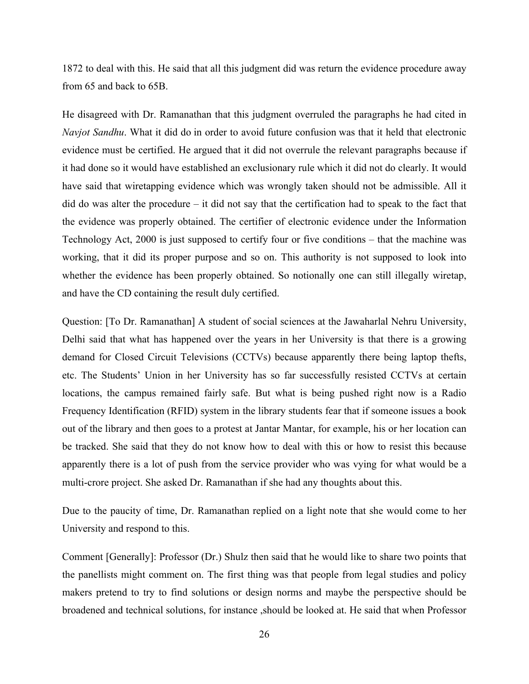1872 to deal with this. He said that all this judgment did was return the evidence procedure away from 65 and back to 65B.

He disagreed with Dr. Ramanathan that this judgment overruled the paragraphs he had cited in *Navjot Sandhu*. What it did do in order to avoid future confusion was that it held that electronic evidence must be certified. He argued that it did not overrule the relevant paragraphs because if it had done so it would have established an exclusionary rule which it did not do clearly. It would have said that wiretapping evidence which was wrongly taken should not be admissible. All it did do was alter the procedure – it did not say that the certification had to speak to the fact that the evidence was properly obtained. The certifier of electronic evidence under the Information Technology Act, 2000 is just supposed to certify four or five conditions – that the machine was working, that it did its proper purpose and so on. This authority is not supposed to look into whether the evidence has been properly obtained. So notionally one can still illegally wiretap, and have the CD containing the result duly certified.

Question: [To Dr. Ramanathan] A student of social sciences at the Jawaharlal Nehru University, Delhi said that what has happened over the years in her University is that there is a growing demand for Closed Circuit Televisions (CCTVs) because apparently there being laptop thefts, etc. The Students' Union in her University has so far successfully resisted CCTVs at certain locations, the campus remained fairly safe. But what is being pushed right now is a Radio Frequency Identification (RFID) system in the library students fear that if someone issues a book out of the library and then goes to a protest at Jantar Mantar, for example, his or her location can be tracked. She said that they do not know how to deal with this or how to resist this because apparently there is a lot of push from the service provider who was vying for what would be a multi-crore project. She asked Dr. Ramanathan if she had any thoughts about this.

Due to the paucity of time, Dr. Ramanathan replied on a light note that she would come to her University and respond to this.

Comment [Generally]: Professor (Dr.) Shulz then said that he would like to share two points that the panellists might comment on. The first thing was that people from legal studies and policy makers pretend to try to find solutions or design norms and maybe the perspective should be broadened and technical solutions, for instance ,should be looked at. He said that when Professor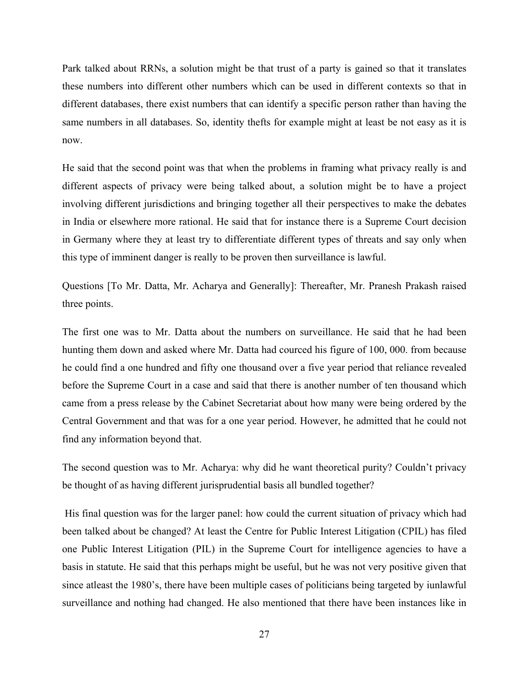Park talked about RRNs, a solution might be that trust of a party is gained so that it translates these numbers into different other numbers which can be used in different contexts so that in different databases, there exist numbers that can identify a specific person rather than having the same numbers in all databases. So, identity thefts for example might at least be not easy as it is now.

He said that the second point was that when the problems in framing what privacy really is and different aspects of privacy were being talked about, a solution might be to have a project involving different jurisdictions and bringing together all their perspectives to make the debates in India or elsewhere more rational. He said that for instance there is a Supreme Court decision in Germany where they at least try to differentiate different types of threats and say only when this type of imminent danger is really to be proven then surveillance is lawful.

Questions [To Mr. Datta, Mr. Acharya and Generally]: Thereafter, Mr. Pranesh Prakash raised three points.

The first one was to Mr. Datta about the numbers on surveillance. He said that he had been hunting them down and asked where Mr. Datta had courced his figure of 100, 000. from because he could find a one hundred and fifty one thousand over a five year period that reliance revealed before the Supreme Court in a case and said that there is another number of ten thousand which came from a press release by the Cabinet Secretariat about how many were being ordered by the Central Government and that was for a one year period. However, he admitted that he could not find any information beyond that.

The second question was to Mr. Acharya: why did he want theoretical purity? Couldn't privacy be thought of as having different jurisprudential basis all bundled together?

His final question was for the larger panel: how could the current situation of privacy which had been talked about be changed? At least the Centre for Public Interest Litigation (CPIL) has filed one Public Interest Litigation (PIL) in the Supreme Court for intelligence agencies to have a basis in statute. He said that this perhaps might be useful, but he was not very positive given that since atleast the 1980's, there have been multiple cases of politicians being targeted by iunlawful surveillance and nothing had changed. He also mentioned that there have been instances like in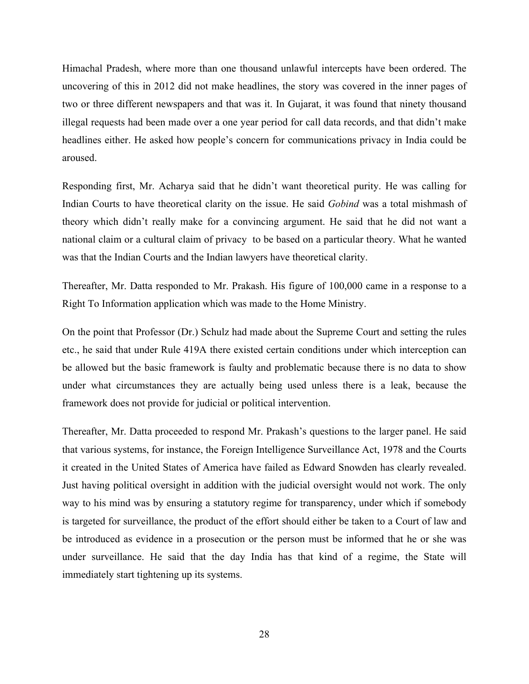Himachal Pradesh, where more than one thousand unlawful intercepts have been ordered. The uncovering of this in 2012 did not make headlines, the story was covered in the inner pages of two or three different newspapers and that was it. In Gujarat, it was found that ninety thousand illegal requests had been made over a one year period for call data records, and that didn't make headlines either. He asked how people's concern for communications privacy in India could be aroused.

Responding first, Mr. Acharya said that he didn't want theoretical purity. He was calling for Indian Courts to have theoretical clarity on the issue. He said *Gobind* was a total mishmash of theory which didn't really make for a convincing argument. He said that he did not want a national claim or a cultural claim of privacy to be based on a particular theory. What he wanted was that the Indian Courts and the Indian lawyers have theoretical clarity.

Thereafter, Mr. Datta responded to Mr. Prakash. His figure of 100,000 came in a response to a Right To Information application which was made to the Home Ministry.

On the point that Professor (Dr.) Schulz had made about the Supreme Court and setting the rules etc., he said that under Rule 419A there existed certain conditions under which interception can be allowed but the basic framework is faulty and problematic because there is no data to show under what circumstances they are actually being used unless there is a leak, because the framework does not provide for judicial or political intervention.

Thereafter, Mr. Datta proceeded to respond Mr. Prakash's questions to the larger panel. He said that various systems, for instance, the Foreign Intelligence Surveillance Act, 1978 and the Courts it created in the United States of America have failed as Edward Snowden has clearly revealed. Just having political oversight in addition with the judicial oversight would not work. The only way to his mind was by ensuring a statutory regime for transparency, under which if somebody is targeted for surveillance, the product of the effort should either be taken to a Court of law and be introduced as evidence in a prosecution or the person must be informed that he or she was under surveillance. He said that the day India has that kind of a regime, the State will immediately start tightening up its systems.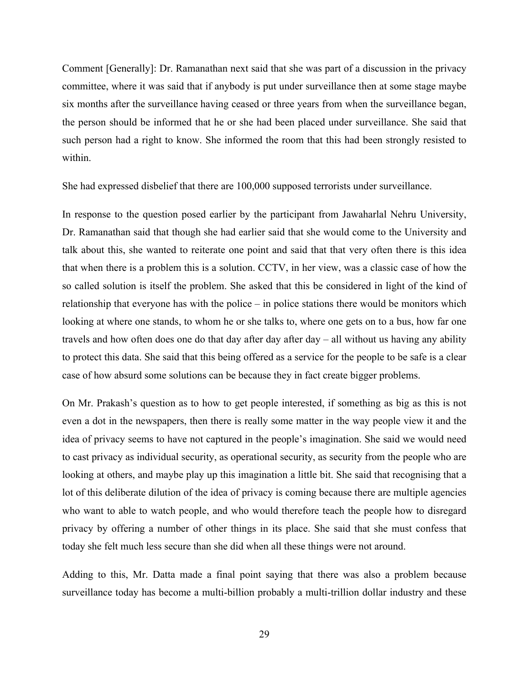Comment [Generally]: Dr. Ramanathan next said that she was part of a discussion in the privacy committee, where it was said that if anybody is put under surveillance then at some stage maybe six months after the surveillance having ceased or three years from when the surveillance began, the person should be informed that he or she had been placed under surveillance. She said that such person had a right to know. She informed the room that this had been strongly resisted to within.

She had expressed disbelief that there are 100,000 supposed terrorists under surveillance.

In response to the question posed earlier by the participant from Jawaharlal Nehru University, Dr. Ramanathan said that though she had earlier said that she would come to the University and talk about this, she wanted to reiterate one point and said that that very often there is this idea that when there is a problem this is a solution. CCTV, in her view, was a classic case of how the so called solution is itself the problem. She asked that this be considered in light of the kind of relationship that everyone has with the police – in police stations there would be monitors which looking at where one stands, to whom he or she talks to, where one gets on to a bus, how far one travels and how often does one do that day after day after day – all without us having any ability to protect this data. She said that this being offered as a service for the people to be safe is a clear case of how absurd some solutions can be because they in fact create bigger problems.

On Mr. Prakash's question as to how to get people interested, if something as big as this is not even a dot in the newspapers, then there is really some matter in the way people view it and the idea of privacy seems to have not captured in the people's imagination. She said we would need to cast privacy as individual security, as operational security, as security from the people who are looking at others, and maybe play up this imagination a little bit. She said that recognising that a lot of this deliberate dilution of the idea of privacy is coming because there are multiple agencies who want to able to watch people, and who would therefore teach the people how to disregard privacy by offering a number of other things in its place. She said that she must confess that today she felt much less secure than she did when all these things were not around.

Adding to this, Mr. Datta made a final point saying that there was also a problem because surveillance today has become a multi-billion probably a multi-trillion dollar industry and these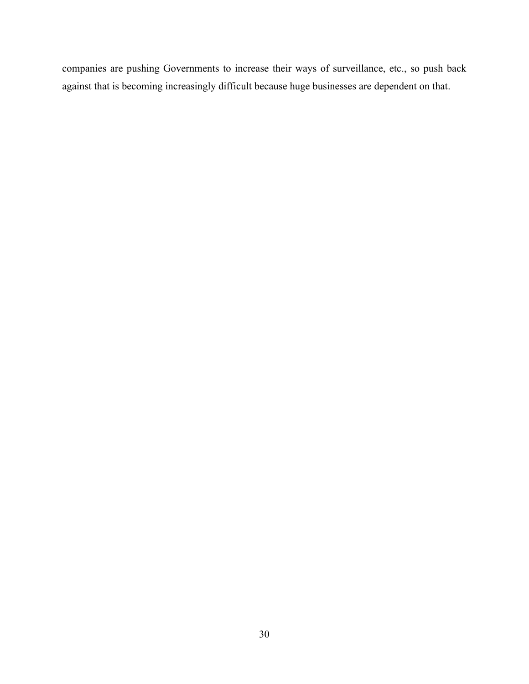companies are pushing Governments to increase their ways of surveillance, etc., so push back against that is becoming increasingly difficult because huge businesses are dependent on that.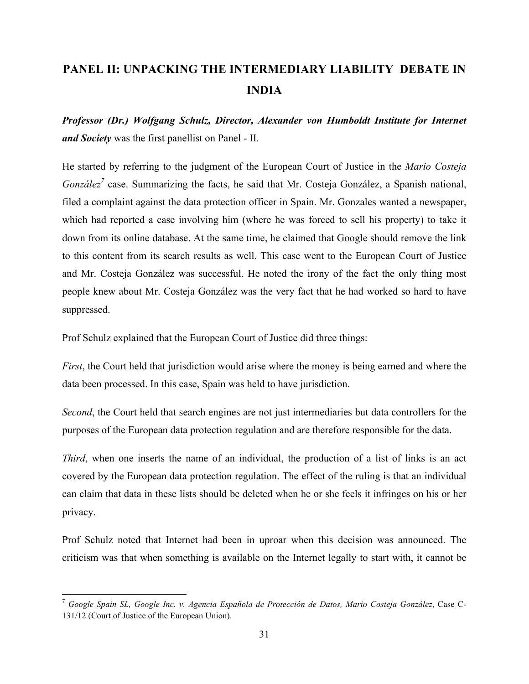# **PANEL II: UNPACKING THE INTERMEDIARY LIABILITY DEBATE IN INDIA**

*Professor (Dr.) Wolfgang Schulz, Director, Alexander von Humboldt Institute for Internet and Society* was the first panellist on Panel - II.

He started by referring to the judgment of the European Court of Justice in the *Mario Costeja González*<sup>7</sup> case. Summarizing the facts, he said that Mr. Costeja González, a Spanish national, filed a complaint against the data protection officer in Spain. Mr. Gonzales wanted a newspaper, which had reported a case involving him (where he was forced to sell his property) to take it down from its online database. At the same time, he claimed that Google should remove the link to this content from its search results as well. This case went to the European Court of Justice and Mr. Costeja González was successful. He noted the irony of the fact the only thing most people knew about Mr. Costeja González was the very fact that he had worked so hard to have suppressed.

Prof Schulz explained that the European Court of Justice did three things:

<u> 1989 - Johann Stein, markin film yn y breninn y breninn y breninn y breninn y breninn y breninn y breninn y b</u>

*First*, the Court held that jurisdiction would arise where the money is being earned and where the data been processed. In this case, Spain was held to have jurisdiction.

*Second*, the Court held that search engines are not just intermediaries but data controllers for the purposes of the European data protection regulation and are therefore responsible for the data.

*Third*, when one inserts the name of an individual, the production of a list of links is an act covered by the European data protection regulation. The effect of the ruling is that an individual can claim that data in these lists should be deleted when he or she feels it infringes on his or her privacy.

Prof Schulz noted that Internet had been in uproar when this decision was announced. The criticism was that when something is available on the Internet legally to start with, it cannot be

<sup>7</sup> *Google Spain SL, Google Inc. v. Agencia Española de Protección de Datos, Mario Costeja González*, Case C-131/12 (Court of Justice of the European Union).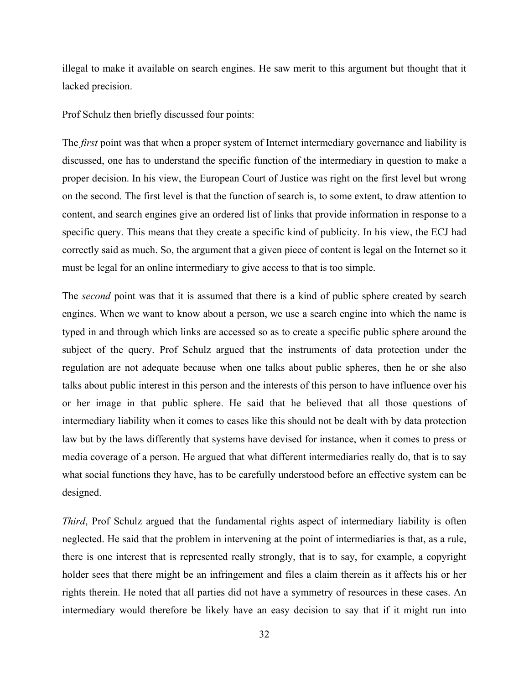illegal to make it available on search engines. He saw merit to this argument but thought that it lacked precision.

Prof Schulz then briefly discussed four points:

The *first* point was that when a proper system of Internet intermediary governance and liability is discussed, one has to understand the specific function of the intermediary in question to make a proper decision. In his view, the European Court of Justice was right on the first level but wrong on the second. The first level is that the function of search is, to some extent, to draw attention to content, and search engines give an ordered list of links that provide information in response to a specific query. This means that they create a specific kind of publicity. In his view, the ECJ had correctly said as much. So, the argument that a given piece of content is legal on the Internet so it must be legal for an online intermediary to give access to that is too simple.

The *second* point was that it is assumed that there is a kind of public sphere created by search engines. When we want to know about a person, we use a search engine into which the name is typed in and through which links are accessed so as to create a specific public sphere around the subject of the query. Prof Schulz argued that the instruments of data protection under the regulation are not adequate because when one talks about public spheres, then he or she also talks about public interest in this person and the interests of this person to have influence over his or her image in that public sphere. He said that he believed that all those questions of intermediary liability when it comes to cases like this should not be dealt with by data protection law but by the laws differently that systems have devised for instance, when it comes to press or media coverage of a person. He argued that what different intermediaries really do, that is to say what social functions they have, has to be carefully understood before an effective system can be designed.

*Third*, Prof Schulz argued that the fundamental rights aspect of intermediary liability is often neglected. He said that the problem in intervening at the point of intermediaries is that, as a rule, there is one interest that is represented really strongly, that is to say, for example, a copyright holder sees that there might be an infringement and files a claim therein as it affects his or her rights therein. He noted that all parties did not have a symmetry of resources in these cases. An intermediary would therefore be likely have an easy decision to say that if it might run into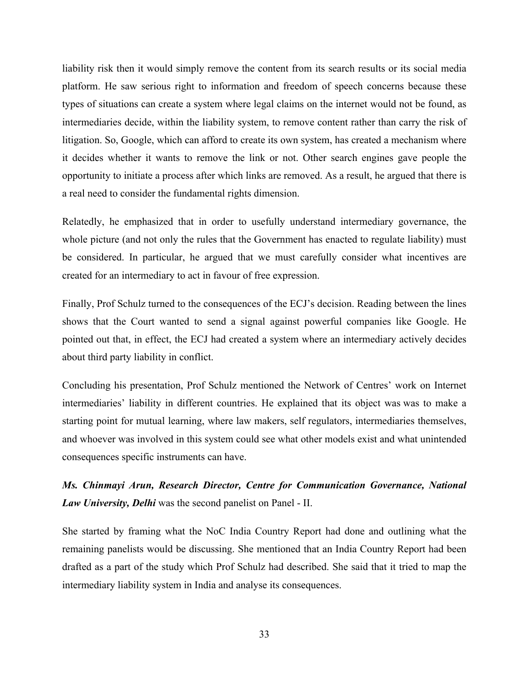liability risk then it would simply remove the content from its search results or its social media platform. He saw serious right to information and freedom of speech concerns because these types of situations can create a system where legal claims on the internet would not be found, as intermediaries decide, within the liability system, to remove content rather than carry the risk of litigation. So, Google, which can afford to create its own system, has created a mechanism where it decides whether it wants to remove the link or not. Other search engines gave people the opportunity to initiate a process after which links are removed. As a result, he argued that there is a real need to consider the fundamental rights dimension.

Relatedly, he emphasized that in order to usefully understand intermediary governance, the whole picture (and not only the rules that the Government has enacted to regulate liability) must be considered. In particular, he argued that we must carefully consider what incentives are created for an intermediary to act in favour of free expression.

Finally, Prof Schulz turned to the consequences of the ECJ's decision. Reading between the lines shows that the Court wanted to send a signal against powerful companies like Google. He pointed out that, in effect, the ECJ had created a system where an intermediary actively decides about third party liability in conflict.

Concluding his presentation, Prof Schulz mentioned the Network of Centres' work on Internet intermediaries' liability in different countries. He explained that its object was was to make a starting point for mutual learning, where law makers, self regulators, intermediaries themselves, and whoever was involved in this system could see what other models exist and what unintended consequences specific instruments can have.

## *Ms. Chinmayi Arun, Research Director, Centre for Communication Governance, National Law University, Delhi* was the second panelist on Panel - II.

She started by framing what the NoC India Country Report had done and outlining what the remaining panelists would be discussing. She mentioned that an India Country Report had been drafted as a part of the study which Prof Schulz had described. She said that it tried to map the intermediary liability system in India and analyse its consequences.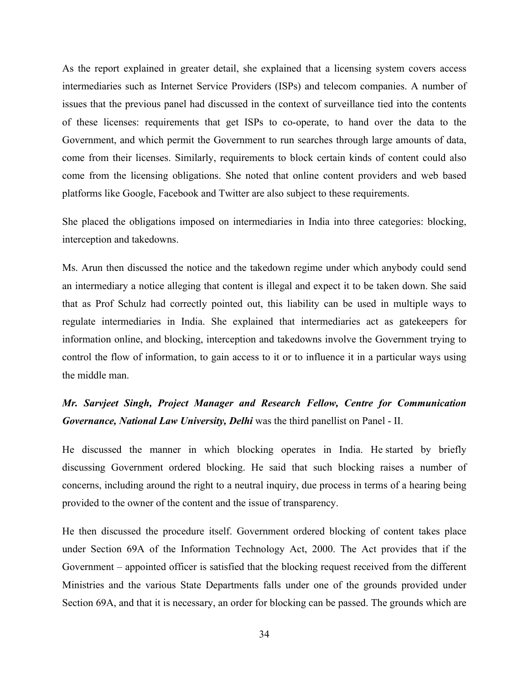As the report explained in greater detail, she explained that a licensing system covers access intermediaries such as Internet Service Providers (ISPs) and telecom companies. A number of issues that the previous panel had discussed in the context of surveillance tied into the contents of these licenses: requirements that get ISPs to co-operate, to hand over the data to the Government, and which permit the Government to run searches through large amounts of data, come from their licenses. Similarly, requirements to block certain kinds of content could also come from the licensing obligations. She noted that online content providers and web based platforms like Google, Facebook and Twitter are also subject to these requirements.

She placed the obligations imposed on intermediaries in India into three categories: blocking, interception and takedowns.

Ms. Arun then discussed the notice and the takedown regime under which anybody could send an intermediary a notice alleging that content is illegal and expect it to be taken down. She said that as Prof Schulz had correctly pointed out, this liability can be used in multiple ways to regulate intermediaries in India. She explained that intermediaries act as gatekeepers for information online, and blocking, interception and takedowns involve the Government trying to control the flow of information, to gain access to it or to influence it in a particular ways using the middle man.

## *Mr. Sarvjeet Singh, Project Manager and Research Fellow, Centre for Communication Governance, National Law University, Delhi* was the third panellist on Panel - II.

He discussed the manner in which blocking operates in India. He started by briefly discussing Government ordered blocking. He said that such blocking raises a number of concerns, including around the right to a neutral inquiry, due process in terms of a hearing being provided to the owner of the content and the issue of transparency.

He then discussed the procedure itself. Government ordered blocking of content takes place under Section 69A of the Information Technology Act, 2000. The Act provides that if the Government – appointed officer is satisfied that the blocking request received from the different Ministries and the various State Departments falls under one of the grounds provided under Section 69A, and that it is necessary, an order for blocking can be passed. The grounds which are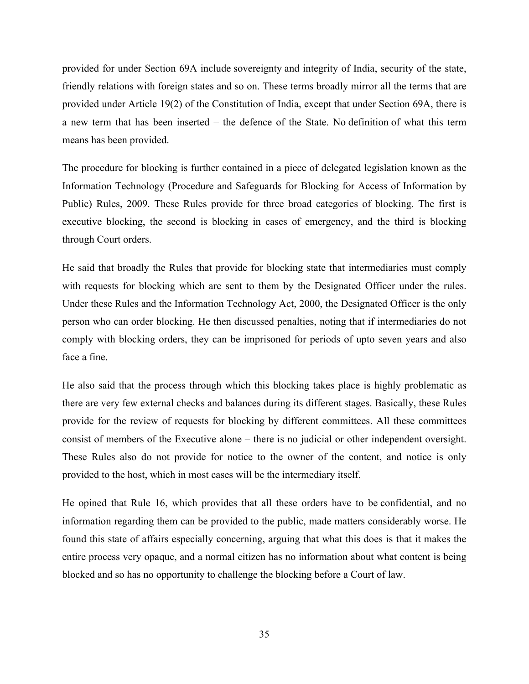provided for under Section 69A include sovereignty and integrity of India, security of the state, friendly relations with foreign states and so on. These terms broadly mirror all the terms that are provided under Article 19(2) of the Constitution of India, except that under Section 69A, there is a new term that has been inserted – the defence of the State. No definition of what this term means has been provided.

The procedure for blocking is further contained in a piece of delegated legislation known as the Information Technology (Procedure and Safeguards for Blocking for Access of Information by Public) Rules, 2009. These Rules provide for three broad categories of blocking. The first is executive blocking, the second is blocking in cases of emergency, and the third is blocking through Court orders.

He said that broadly the Rules that provide for blocking state that intermediaries must comply with requests for blocking which are sent to them by the Designated Officer under the rules. Under these Rules and the Information Technology Act, 2000, the Designated Officer is the only person who can order blocking. He then discussed penalties, noting that if intermediaries do not comply with blocking orders, they can be imprisoned for periods of upto seven years and also face a fine.

He also said that the process through which this blocking takes place is highly problematic as there are very few external checks and balances during its different stages. Basically, these Rules provide for the review of requests for blocking by different committees. All these committees consist of members of the Executive alone – there is no judicial or other independent oversight. These Rules also do not provide for notice to the owner of the content, and notice is only provided to the host, which in most cases will be the intermediary itself.

He opined that Rule 16, which provides that all these orders have to be confidential, and no information regarding them can be provided to the public, made matters considerably worse. He found this state of affairs especially concerning, arguing that what this does is that it makes the entire process very opaque, and a normal citizen has no information about what content is being blocked and so has no opportunity to challenge the blocking before a Court of law.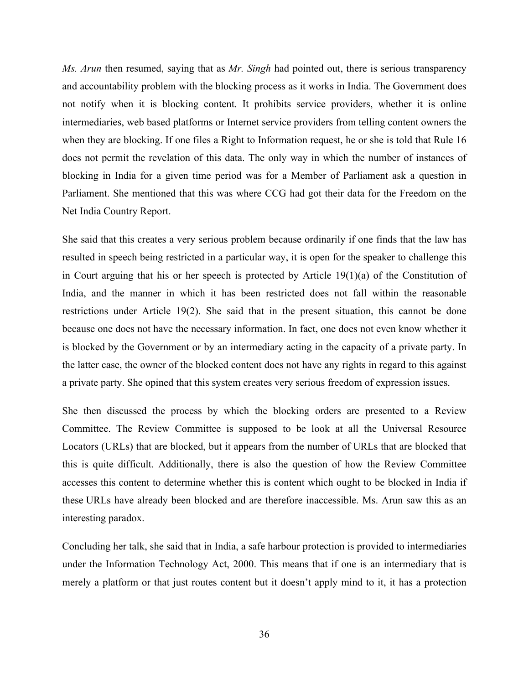*Ms. Arun* then resumed, saying that as *Mr. Singh* had pointed out, there is serious transparency and accountability problem with the blocking process as it works in India. The Government does not notify when it is blocking content. It prohibits service providers, whether it is online intermediaries, web based platforms or Internet service providers from telling content owners the when they are blocking. If one files a Right to Information request, he or she is told that Rule 16 does not permit the revelation of this data. The only way in which the number of instances of blocking in India for a given time period was for a Member of Parliament ask a question in Parliament. She mentioned that this was where CCG had got their data for the Freedom on the Net India Country Report.

She said that this creates a very serious problem because ordinarily if one finds that the law has resulted in speech being restricted in a particular way, it is open for the speaker to challenge this in Court arguing that his or her speech is protected by Article 19(1)(a) of the Constitution of India, and the manner in which it has been restricted does not fall within the reasonable restrictions under Article 19(2). She said that in the present situation, this cannot be done because one does not have the necessary information. In fact, one does not even know whether it is blocked by the Government or by an intermediary acting in the capacity of a private party. In the latter case, the owner of the blocked content does not have any rights in regard to this against a private party. She opined that this system creates very serious freedom of expression issues.

She then discussed the process by which the blocking orders are presented to a Review Committee. The Review Committee is supposed to be look at all the Universal Resource Locators (URLs) that are blocked, but it appears from the number of URLs that are blocked that this is quite difficult. Additionally, there is also the question of how the Review Committee accesses this content to determine whether this is content which ought to be blocked in India if these URLs have already been blocked and are therefore inaccessible. Ms. Arun saw this as an interesting paradox.

Concluding her talk, she said that in India, a safe harbour protection is provided to intermediaries under the Information Technology Act, 2000. This means that if one is an intermediary that is merely a platform or that just routes content but it doesn't apply mind to it, it has a protection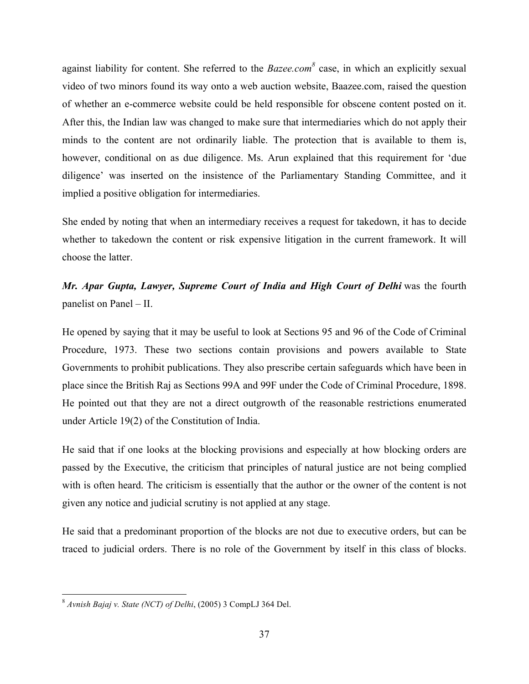against liability for content. She referred to the *Bazee.com*<sup>8</sup> case, in which an explicitly sexual video of two minors found its way onto a web auction website, Baazee.com, raised the question of whether an e-commerce website could be held responsible for obscene content posted on it. After this, the Indian law was changed to make sure that intermediaries which do not apply their minds to the content are not ordinarily liable. The protection that is available to them is, however, conditional on as due diligence. Ms. Arun explained that this requirement for 'due diligence' was inserted on the insistence of the Parliamentary Standing Committee, and it implied a positive obligation for intermediaries.

She ended by noting that when an intermediary receives a request for takedown, it has to decide whether to takedown the content or risk expensive litigation in the current framework. It will choose the latter.

*Mr. Apar Gupta, Lawyer, Supreme Court of India and High Court of Delhi* was the fourth panelist on Panel – II.

He opened by saying that it may be useful to look at Sections 95 and 96 of the Code of Criminal Procedure, 1973. These two sections contain provisions and powers available to State Governments to prohibit publications. They also prescribe certain safeguards which have been in place since the British Raj as Sections 99A and 99F under the Code of Criminal Procedure, 1898. He pointed out that they are not a direct outgrowth of the reasonable restrictions enumerated under Article 19(2) of the Constitution of India.

He said that if one looks at the blocking provisions and especially at how blocking orders are passed by the Executive, the criticism that principles of natural justice are not being complied with is often heard. The criticism is essentially that the author or the owner of the content is not given any notice and judicial scrutiny is not applied at any stage.

He said that a predominant proportion of the blocks are not due to executive orders, but can be traced to judicial orders. There is no role of the Government by itself in this class of blocks.

<u> 1989 - Johann Stein, markin film yn y breninn y breninn y breninn y breninn y breninn y breninn y breninn y b</u>

<sup>8</sup> *Avnish Bajaj v. State (NCT) of Delhi*, (2005) 3 CompLJ 364 Del.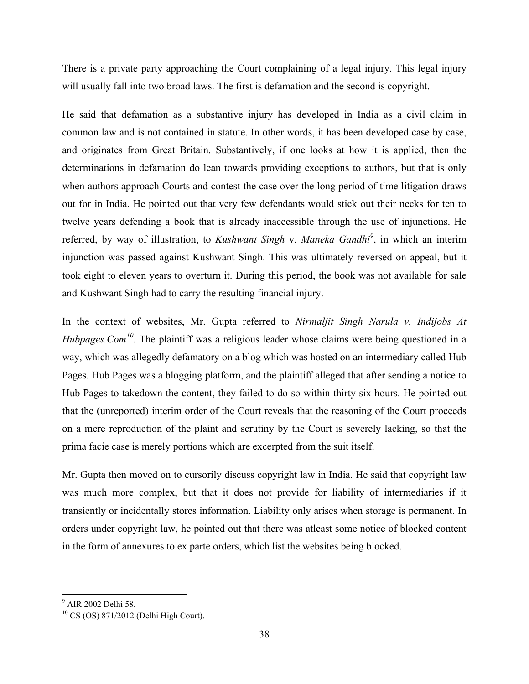There is a private party approaching the Court complaining of a legal injury. This legal injury will usually fall into two broad laws. The first is defamation and the second is copyright.

He said that defamation as a substantive injury has developed in India as a civil claim in common law and is not contained in statute. In other words, it has been developed case by case, and originates from Great Britain. Substantively, if one looks at how it is applied, then the determinations in defamation do lean towards providing exceptions to authors, but that is only when authors approach Courts and contest the case over the long period of time litigation draws out for in India. He pointed out that very few defendants would stick out their necks for ten to twelve years defending a book that is already inaccessible through the use of injunctions. He referred, by way of illustration, to *Kushwant Singh* v. *Maneka Gandhi<sup>9</sup>* , in which an interim injunction was passed against Kushwant Singh. This was ultimately reversed on appeal, but it took eight to eleven years to overturn it. During this period, the book was not available for sale and Kushwant Singh had to carry the resulting financial injury.

In the context of websites, Mr. Gupta referred to *Nirmaljit Singh Narula v. Indijobs At Hubpages.Com<sup>10</sup>*. The plaintiff was a religious leader whose claims were being questioned in a way, which was allegedly defamatory on a blog which was hosted on an intermediary called Hub Pages. Hub Pages was a blogging platform, and the plaintiff alleged that after sending a notice to Hub Pages to takedown the content, they failed to do so within thirty six hours. He pointed out that the (unreported) interim order of the Court reveals that the reasoning of the Court proceeds on a mere reproduction of the plaint and scrutiny by the Court is severely lacking, so that the prima facie case is merely portions which are excerpted from the suit itself.

Mr. Gupta then moved on to cursorily discuss copyright law in India. He said that copyright law was much more complex, but that it does not provide for liability of intermediaries if it transiently or incidentally stores information. Liability only arises when storage is permanent. In orders under copyright law, he pointed out that there was atleast some notice of blocked content in the form of annexures to ex parte orders, which list the websites being blocked.

<u> 1989 - Johann Stein, markin film yn y breninn y breninn y breninn y breninn y breninn y breninn y breninn y b</u>

<sup>&</sup>lt;sup>9</sup> AIR 2002 Delhi 58.

<sup>10</sup> CS (OS) 871/2012 (Delhi High Court).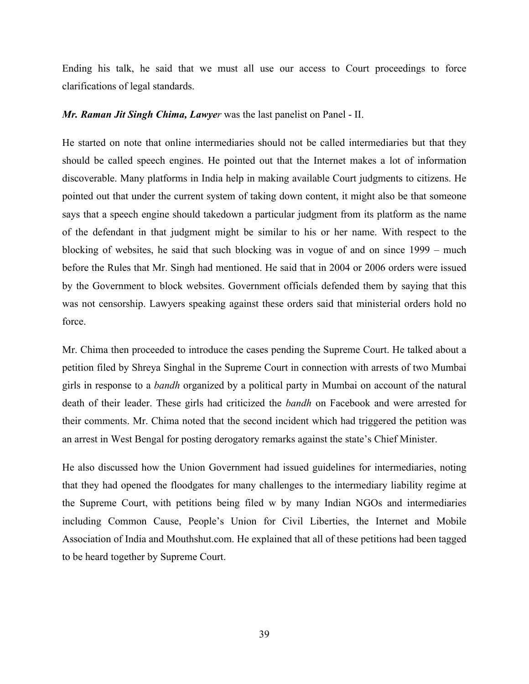Ending his talk, he said that we must all use our access to Court proceedings to force clarifications of legal standards.

#### *Mr. Raman Jit Singh Chima, Lawyer* was the last panelist on Panel - II.

He started on note that online intermediaries should not be called intermediaries but that they should be called speech engines. He pointed out that the Internet makes a lot of information discoverable. Many platforms in India help in making available Court judgments to citizens. He pointed out that under the current system of taking down content, it might also be that someone says that a speech engine should takedown a particular judgment from its platform as the name of the defendant in that judgment might be similar to his or her name. With respect to the blocking of websites, he said that such blocking was in vogue of and on since 1999 – much before the Rules that Mr. Singh had mentioned. He said that in 2004 or 2006 orders were issued by the Government to block websites. Government officials defended them by saying that this was not censorship. Lawyers speaking against these orders said that ministerial orders hold no force.

Mr. Chima then proceeded to introduce the cases pending the Supreme Court. He talked about a petition filed by Shreya Singhal in the Supreme Court in connection with arrests of two Mumbai girls in response to a *bandh* organized by a political party in Mumbai on account of the natural death of their leader. These girls had criticized the *bandh* on Facebook and were arrested for their comments. Mr. Chima noted that the second incident which had triggered the petition was an arrest in West Bengal for posting derogatory remarks against the state's Chief Minister.

He also discussed how the Union Government had issued guidelines for intermediaries, noting that they had opened the floodgates for many challenges to the intermediary liability regime at the Supreme Court, with petitions being filed w by many Indian NGOs and intermediaries including Common Cause, People's Union for Civil Liberties, the Internet and Mobile Association of India and Mouthshut.com. He explained that all of these petitions had been tagged to be heard together by Supreme Court.